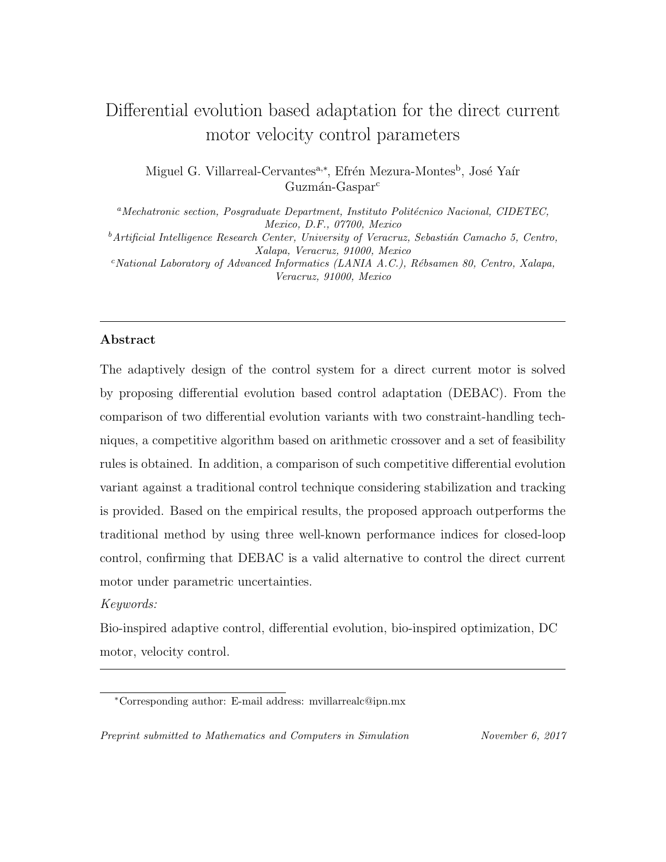# Differential evolution based adaptation for the direct current motor velocity control parameters

Miguel G. Villarreal-Cervantes<sup>a,∗</sup>, Efrén Mezura-Montes<sup>b</sup>, José Yaír Guzmán-Gaspar<sup>c</sup>

 $a<sup>a</sup> Mechanic section, Posgraduate Department, Institute Political Nacional, CIDETEC,$ Mexico, D.F., 07700, Mexico  $^{b}$ Artificial Intelligence Research Center, University of Veracruz, Sebastián Camacho 5, Centro, Xalapa, Veracruz, 91000, Mexico  $c$ <sup>c</sup>National Laboratory of Advanced Informatics (LANIA A.C.), Rébsamen 80, Centro, Xalapa, Veracruz, 91000, Mexico

#### Abstract

The adaptively design of the control system for a direct current motor is solved by proposing differential evolution based control adaptation (DEBAC). From the comparison of two differential evolution variants with two constraint-handling techniques, a competitive algorithm based on arithmetic crossover and a set of feasibility rules is obtained. In addition, a comparison of such competitive differential evolution variant against a traditional control technique considering stabilization and tracking is provided. Based on the empirical results, the proposed approach outperforms the traditional method by using three well-known performance indices for closed-loop control, confirming that DEBAC is a valid alternative to control the direct current motor under parametric uncertainties.

## Keywords:

Bio-inspired adaptive control, differential evolution, bio-inspired optimization, DC motor, velocity control.

Preprint submitted to Mathematics and Computers in Simulation November 6, 2017

<sup>∗</sup>Corresponding author: E-mail address: mvillarrealc@ipn.mx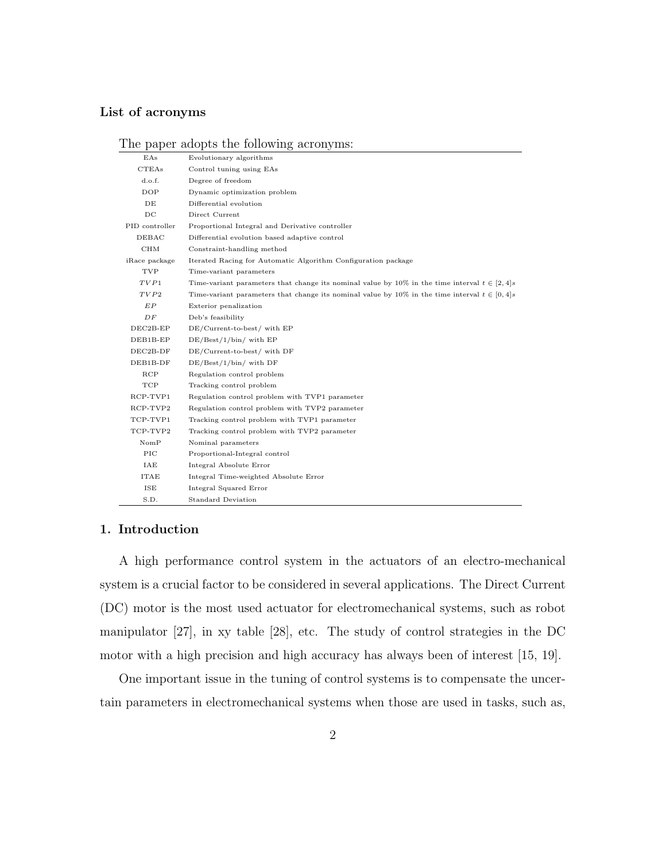#### List of acronyms

#### The paper adopts the following acronyms:

| EAs            | Evolutionary algorithms                                                                            |
|----------------|----------------------------------------------------------------------------------------------------|
| <b>CTEAs</b>   | Control tuning using EAs                                                                           |
| d.o.f.         | Degree of freedom                                                                                  |
| DOP            | Dynamic optimization problem                                                                       |
| DE             | Differential evolution                                                                             |
| DC             | Direct Current                                                                                     |
| PID controller | Proportional Integral and Derivative controller                                                    |
| DEBAC          | Differential evolution based adaptive control                                                      |
| CHM            | Constraint-handling method                                                                         |
| iRace package  | Iterated Racing for Automatic Algorithm Configuration package                                      |
| TVP            | Time-variant parameters                                                                            |
| TVP1           | Time-variant parameters that change its nominal value by 10% in the time interval $t \in [2, 4]$   |
| TVP2           | Time-variant parameters that change its nominal value by 10% in the time interval $t \in [0, 4]$ s |
| EP             | Exterior penalization                                                                              |
| DF             | Deb's feasibility                                                                                  |
| $DEC2B-EP$     | DE/Current-to-best/ with EP                                                                        |
| DEB1B-EP       | $DE/Best/1/bin$ with $EP$                                                                          |
| $DEC2B-DF$     | DE/Current-to-best/ with DF                                                                        |
| DEB1B-DF       | $DE/Best/1/bin$ with $DF$                                                                          |
| RCP            | Regulation control problem                                                                         |
| TCP            | Tracking control problem                                                                           |
| RCP-TVP1       | Regulation control problem with TVP1 parameter                                                     |
| RCP-TVP2       | Regulation control problem with TVP2 parameter                                                     |
| TCP-TVP1       | Tracking control problem with TVP1 parameter                                                       |
| TCP-TVP2       | Tracking control problem with TVP2 parameter                                                       |
| $\text{NomP}$  | Nominal parameters                                                                                 |
| PIC            | Proportional-Integral control                                                                      |
| IAE            | Integral Absolute Error                                                                            |
| <b>ITAE</b>    | Integral Time-weighted Absolute Error                                                              |
| ISE            | Integral Squared Error                                                                             |
| S.D.           | <b>Standard Deviation</b>                                                                          |

#### 1. Introduction

A high performance control system in the actuators of an electro-mechanical system is a crucial factor to be considered in several applications. The Direct Current (DC) motor is the most used actuator for electromechanical systems, such as robot manipulator [27], in xy table [28], etc. The study of control strategies in the DC motor with a high precision and high accuracy has always been of interest [15, 19].

One important issue in the tuning of control systems is to compensate the uncertain parameters in electromechanical systems when those are used in tasks, such as,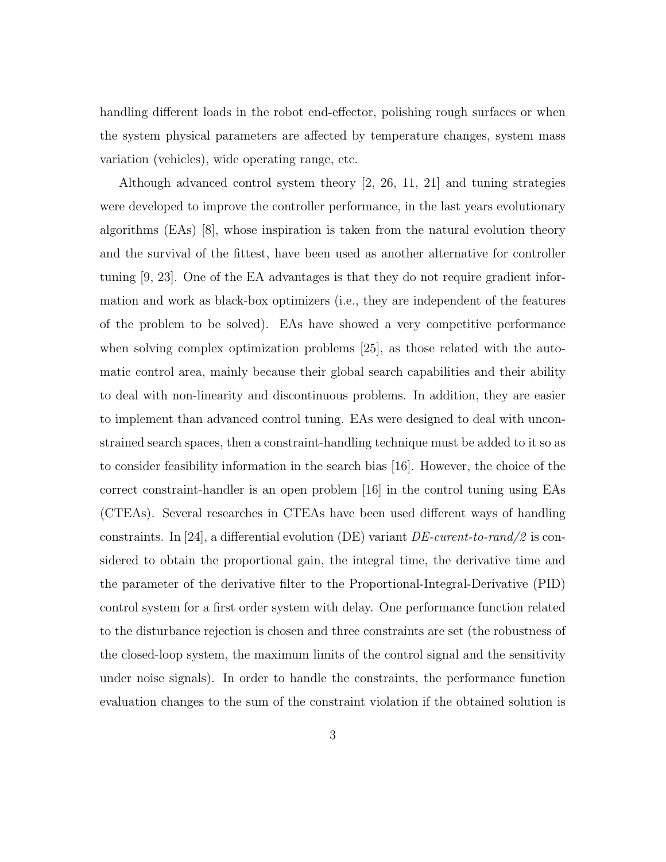handling different loads in the robot end-effector, polishing rough surfaces or when the system physical parameters are affected by temperature changes, system mass variation (vehicles), wide operating range, etc.

Although advanced control system theory [2, 26, 11, 21] and tuning strategies were developed to improve the controller performance, in the last years evolutionary algorithms (EAs) [8], whose inspiration is taken from the natural evolution theory and the survival of the fittest, have been used as another alternative for controller tuning [9, 23]. One of the EA advantages is that they do not require gradient information and work as black-box optimizers (i.e., they are independent of the features of the problem to be solved). EAs have showed a very competitive performance when solving complex optimization problems [25], as those related with the automatic control area, mainly because their global search capabilities and their ability to deal with non-linearity and discontinuous problems. In addition, they are easier to implement than advanced control tuning. EAs were designed to deal with unconstrained search spaces, then a constraint-handling technique must be added to it so as to consider feasibility information in the search bias [16]. However, the choice of the correct constraint-handler is an open problem [16] in the control tuning using EAs (CTEAs). Several researches in CTEAs have been used different ways of handling constraints. In [24], a differential evolution (DE) variant  $DE-current-to-random/2$  is considered to obtain the proportional gain, the integral time, the derivative time and the parameter of the derivative filter to the Proportional-Integral-Derivative (PID) control system for a first order system with delay. One performance function related to the disturbance rejection is chosen and three constraints are set (the robustness of the closed-loop system, the maximum limits of the control signal and the sensitivity under noise signals). In order to handle the constraints, the performance function evaluation changes to the sum of the constraint violation if the obtained solution is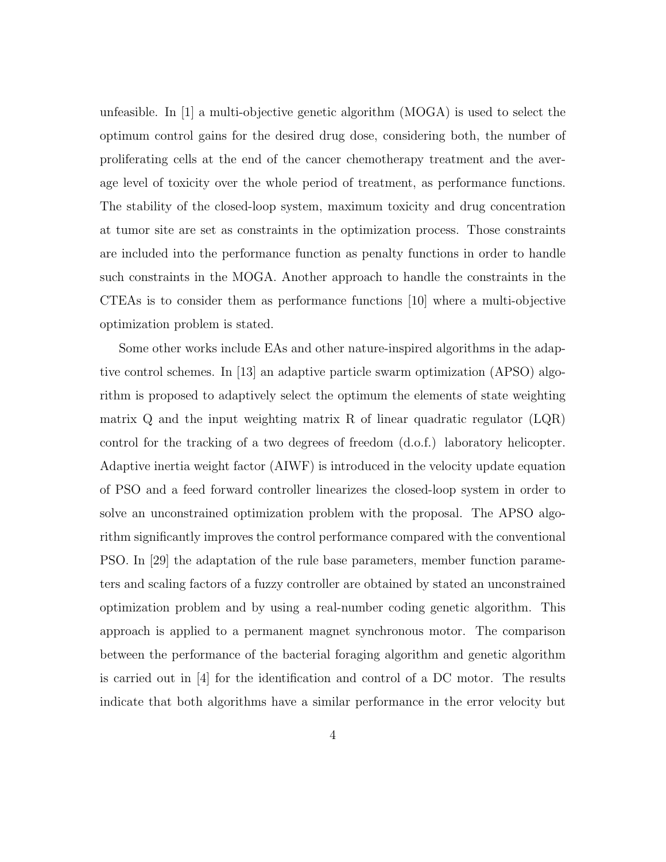unfeasible. In [1] a multi-objective genetic algorithm (MOGA) is used to select the optimum control gains for the desired drug dose, considering both, the number of proliferating cells at the end of the cancer chemotherapy treatment and the average level of toxicity over the whole period of treatment, as performance functions. The stability of the closed-loop system, maximum toxicity and drug concentration at tumor site are set as constraints in the optimization process. Those constraints are included into the performance function as penalty functions in order to handle such constraints in the MOGA. Another approach to handle the constraints in the CTEAs is to consider them as performance functions [10] where a multi-objective optimization problem is stated.

Some other works include EAs and other nature-inspired algorithms in the adaptive control schemes. In [13] an adaptive particle swarm optimization (APSO) algorithm is proposed to adaptively select the optimum the elements of state weighting matrix  $Q$  and the input weighting matrix R of linear quadratic regulator  $(LQR)$ control for the tracking of a two degrees of freedom (d.o.f.) laboratory helicopter. Adaptive inertia weight factor (AIWF) is introduced in the velocity update equation of PSO and a feed forward controller linearizes the closed-loop system in order to solve an unconstrained optimization problem with the proposal. The APSO algorithm significantly improves the control performance compared with the conventional PSO. In [29] the adaptation of the rule base parameters, member function parameters and scaling factors of a fuzzy controller are obtained by stated an unconstrained optimization problem and by using a real-number coding genetic algorithm. This approach is applied to a permanent magnet synchronous motor. The comparison between the performance of the bacterial foraging algorithm and genetic algorithm is carried out in [4] for the identification and control of a DC motor. The results indicate that both algorithms have a similar performance in the error velocity but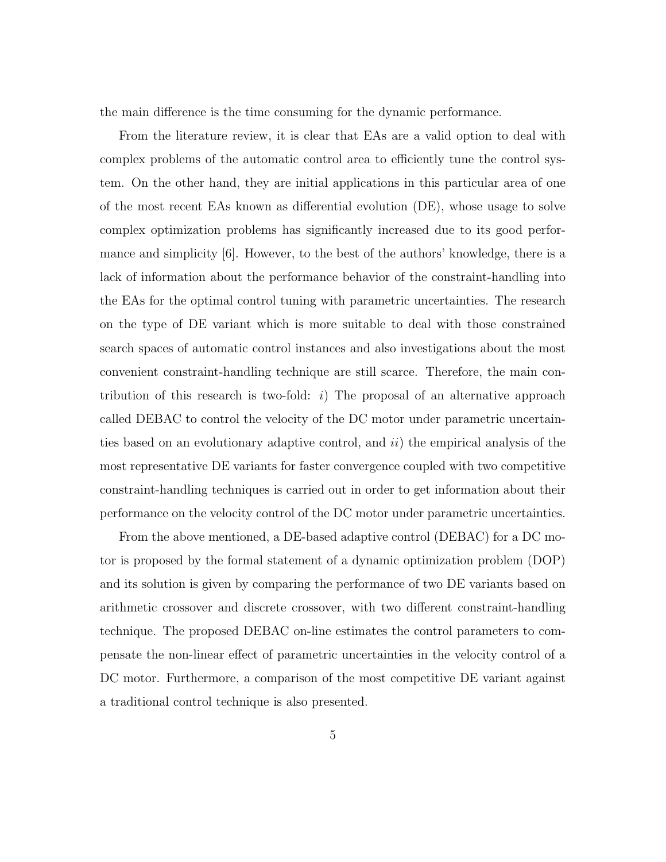the main difference is the time consuming for the dynamic performance.

From the literature review, it is clear that EAs are a valid option to deal with complex problems of the automatic control area to efficiently tune the control system. On the other hand, they are initial applications in this particular area of one of the most recent EAs known as differential evolution (DE), whose usage to solve complex optimization problems has significantly increased due to its good performance and simplicity [6]. However, to the best of the authors' knowledge, there is a lack of information about the performance behavior of the constraint-handling into the EAs for the optimal control tuning with parametric uncertainties. The research on the type of DE variant which is more suitable to deal with those constrained search spaces of automatic control instances and also investigations about the most convenient constraint-handling technique are still scarce. Therefore, the main contribution of this research is two-fold:  $i$ ) The proposal of an alternative approach called DEBAC to control the velocity of the DC motor under parametric uncertainties based on an evolutionary adaptive control, and  $ii)$  the empirical analysis of the most representative DE variants for faster convergence coupled with two competitive constraint-handling techniques is carried out in order to get information about their performance on the velocity control of the DC motor under parametric uncertainties.

From the above mentioned, a DE-based adaptive control (DEBAC) for a DC motor is proposed by the formal statement of a dynamic optimization problem (DOP) and its solution is given by comparing the performance of two DE variants based on arithmetic crossover and discrete crossover, with two different constraint-handling technique. The proposed DEBAC on-line estimates the control parameters to compensate the non-linear effect of parametric uncertainties in the velocity control of a DC motor. Furthermore, a comparison of the most competitive DE variant against a traditional control technique is also presented.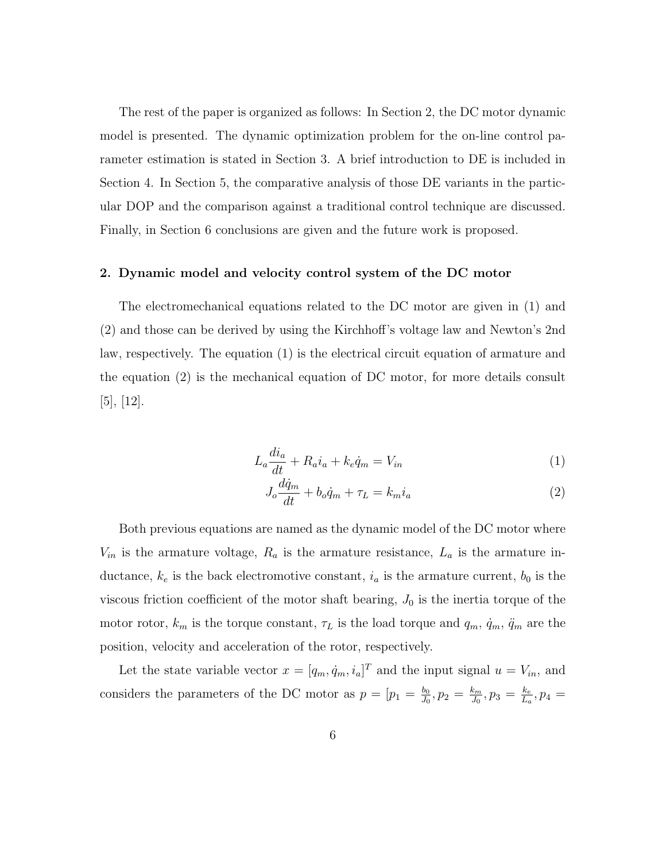The rest of the paper is organized as follows: In Section 2, the DC motor dynamic model is presented. The dynamic optimization problem for the on-line control parameter estimation is stated in Section 3. A brief introduction to DE is included in Section 4. In Section 5, the comparative analysis of those DE variants in the particular DOP and the comparison against a traditional control technique are discussed. Finally, in Section 6 conclusions are given and the future work is proposed.

#### 2. Dynamic model and velocity control system of the DC motor

The electromechanical equations related to the DC motor are given in (1) and (2) and those can be derived by using the Kirchhoff's voltage law and Newton's 2nd law, respectively. The equation (1) is the electrical circuit equation of armature and the equation (2) is the mechanical equation of DC motor, for more details consult [5], [12].

$$
L_a \frac{di_a}{dt} + R_a i_a + k_e \dot{q}_m = V_{in}
$$
\n<sup>(1)</sup>

$$
J_o \frac{d\dot{q}_m}{dt} + b_o \dot{q}_m + \tau_L = k_m i_a \tag{2}
$$

Both previous equations are named as the dynamic model of the DC motor where  $V_{in}$  is the armature voltage,  $R_a$  is the armature resistance,  $L_a$  is the armature inductance,  $k_e$  is the back electromotive constant,  $i_a$  is the armature current,  $b_0$  is the viscous friction coefficient of the motor shaft bearing,  $J_0$  is the inertia torque of the motor rotor,  $k_m$  is the torque constant,  $\tau_L$  is the load torque and  $q_m$ ,  $\dot{q}_m$ ,  $\ddot{q}_m$  are the position, velocity and acceleration of the rotor, respectively.

Let the state variable vector  $x = [q_m, \dot{q}_m, i_a]^T$  and the input signal  $u = V_{in}$ , and considers the parameters of the DC motor as  $p = [p_1 = \frac{b_0}{J_0}]$  $\frac{b_0}{J_0}, p_2 = \frac{k_m}{J_0}$  $\frac{k_m}{J_0}, p_3 = \frac{k_e}{L_a}$  $\frac{k_e}{L_a}$ ,  $p_4 =$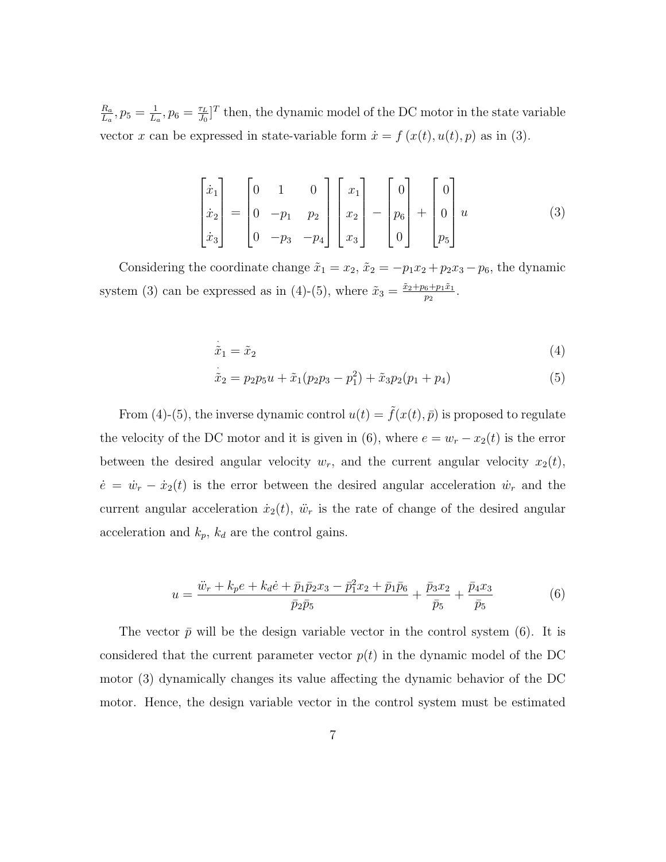$Ra$  $\frac{R_a}{L_a}, p_5 = \frac{1}{L_a}$  $\frac{1}{L_a}, p_6 = \frac{\tau_L}{J_0}$  $\frac{\tau_L}{J_0}$ <sup>T</sup> then, the dynamic model of the DC motor in the state variable vector x can be expressed in state-variable form  $\dot{x} = f(x(t), u(t), p)$  as in (3).

$$
\begin{bmatrix} \dot{x}_1 \\ \dot{x}_2 \\ \dot{x}_3 \end{bmatrix} = \begin{bmatrix} 0 & 1 & 0 \\ 0 & -p_1 & p_2 \\ 0 & -p_3 & -p_4 \end{bmatrix} \begin{bmatrix} x_1 \\ x_2 \\ x_3 \end{bmatrix} - \begin{bmatrix} 0 \\ p_6 \\ 0 \end{bmatrix} + \begin{bmatrix} 0 \\ 0 \\ p_5 \end{bmatrix} u \tag{3}
$$

Considering the coordinate change  $\tilde{x}_1 = x_2$ ,  $\tilde{x}_2 = -p_1x_2 + p_2x_3 - p_6$ , the dynamic system (3) can be expressed as in (4)-(5), where  $\tilde{x}_3 = \frac{\tilde{x}_2 + p_6 + p_1 \tilde{x}_1}{p_2}$  $\frac{6+p_1x_1}{p_2}$ .

$$
\dot{\tilde{x}}_1 = \tilde{x}_2 \tag{4}
$$

$$
\dot{\tilde{x}}_2 = p_2 p_5 u + \tilde{x}_1 (p_2 p_3 - p_1^2) + \tilde{x}_3 p_2 (p_1 + p_4)
$$
\n(5)

From (4)-(5), the inverse dynamic control  $u(t) = \tilde{f}(x(t), \bar{p})$  is proposed to regulate the velocity of the DC motor and it is given in (6), where  $e = w_r - x_2(t)$  is the error between the desired angular velocity  $w_r$ , and the current angular velocity  $x_2(t)$ ,  $\dot{e} = \dot{w}_r - \dot{x}_2(t)$  is the error between the desired angular acceleration  $\dot{w}_r$  and the current angular acceleration  $\dot{x}_2(t)$ ,  $\ddot{w}_r$  is the rate of change of the desired angular acceleration and  $k_p$ ,  $k_d$  are the control gains.

$$
u = \frac{\ddot{w}_r + k_p e + k_d \dot{e} + \bar{p}_1 \bar{p}_2 x_3 - \bar{p}_1^2 x_2 + \bar{p}_1 \bar{p}_6}{\bar{p}_2 \bar{p}_5} + \frac{\bar{p}_3 x_2}{\bar{p}_5} + \frac{\bar{p}_4 x_3}{\bar{p}_5}
$$
(6)

The vector  $\bar{p}$  will be the design variable vector in the control system (6). It is considered that the current parameter vector  $p(t)$  in the dynamic model of the DC motor (3) dynamically changes its value affecting the dynamic behavior of the DC motor. Hence, the design variable vector in the control system must be estimated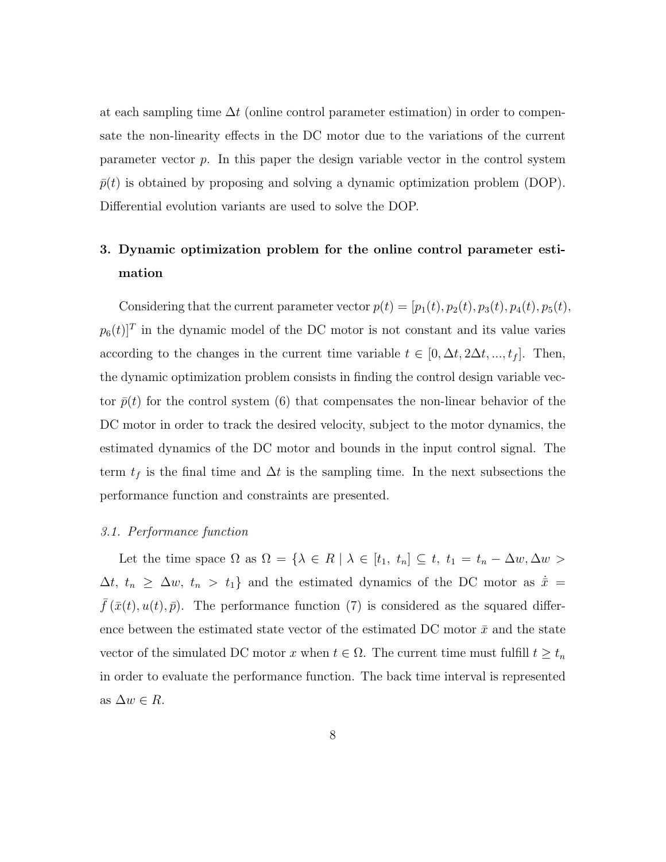at each sampling time  $\Delta t$  (online control parameter estimation) in order to compensate the non-linearity effects in the DC motor due to the variations of the current parameter vector  $p$ . In this paper the design variable vector in the control system  $\bar{p}(t)$  is obtained by proposing and solving a dynamic optimization problem (DOP). Differential evolution variants are used to solve the DOP.

## 3. Dynamic optimization problem for the online control parameter estimation

Considering that the current parameter vector  $p(t) = [p_1(t), p_2(t), p_3(t), p_4(t), p_5(t),$  $p_6(t)$ <sup>T</sup> in the dynamic model of the DC motor is not constant and its value varies according to the changes in the current time variable  $t \in [0, \Delta t, 2\Delta t, ..., t_f]$ . Then, the dynamic optimization problem consists in finding the control design variable vector  $\bar{p}(t)$  for the control system (6) that compensates the non-linear behavior of the DC motor in order to track the desired velocity, subject to the motor dynamics, the estimated dynamics of the DC motor and bounds in the input control signal. The term  $t_f$  is the final time and  $\Delta t$  is the sampling time. In the next subsections the performance function and constraints are presented.

#### 3.1. Performance function

Let the time space  $\Omega$  as  $\Omega = \{\lambda \in R \mid \lambda \in [t_1, t_n] \subseteq t, t_1 = t_n - \Delta w, \Delta w >$  $\Delta t$ ,  $t_n \geq \Delta w$ ,  $t_n > t_1$ } and the estimated dynamics of the DC motor as  $\dot{\bar{x}} =$  $\bar{f}(\bar{x}(t), u(t), \bar{p})$ . The performance function (7) is considered as the squared difference between the estimated state vector of the estimated DC motor  $\bar{x}$  and the state vector of the simulated DC motor x when  $t \in \Omega$ . The current time must fulfill  $t \geq t_n$ in order to evaluate the performance function. The back time interval is represented as  $\Delta w \in R$ .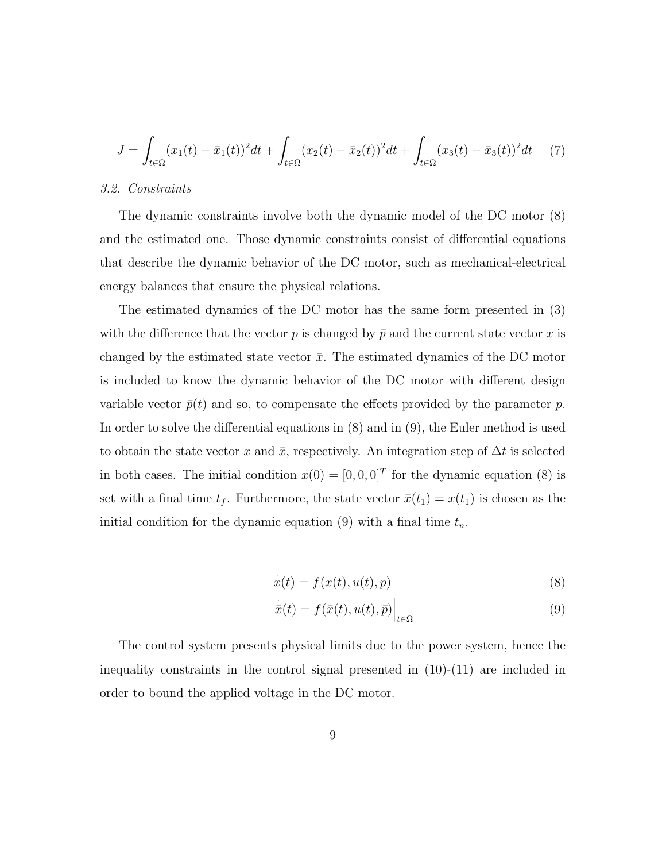$$
J = \int_{t \in \Omega} (x_1(t) - \bar{x}_1(t))^2 dt + \int_{t \in \Omega} (x_2(t) - \bar{x}_2(t))^2 dt + \int_{t \in \Omega} (x_3(t) - \bar{x}_3(t))^2 dt \tag{7}
$$

#### 3.2. Constraints

The dynamic constraints involve both the dynamic model of the DC motor (8) and the estimated one. Those dynamic constraints consist of differential equations that describe the dynamic behavior of the DC motor, such as mechanical-electrical energy balances that ensure the physical relations.

The estimated dynamics of the DC motor has the same form presented in (3) with the difference that the vector p is changed by  $\bar{p}$  and the current state vector x is changed by the estimated state vector  $\bar{x}$ . The estimated dynamics of the DC motor is included to know the dynamic behavior of the DC motor with different design variable vector  $\bar{p}(t)$  and so, to compensate the effects provided by the parameter p. In order to solve the differential equations in (8) and in (9), the Euler method is used to obtain the state vector x and  $\bar{x}$ , respectively. An integration step of  $\Delta t$  is selected in both cases. The initial condition  $x(0) = [0, 0, 0]^T$  for the dynamic equation (8) is set with a final time  $t_f$ . Furthermore, the state vector  $\bar{x}(t_1) = x(t_1)$  is chosen as the initial condition for the dynamic equation (9) with a final time  $t_n$ .

$$
\dot{x}(t) = f(x(t), u(t), p) \tag{8}
$$

$$
\bar{x}(t) = f(\bar{x}(t), u(t), \bar{p})\Big|_{t \in \Omega} \tag{9}
$$

The control system presents physical limits due to the power system, hence the inequality constraints in the control signal presented in (10)-(11) are included in order to bound the applied voltage in the DC motor.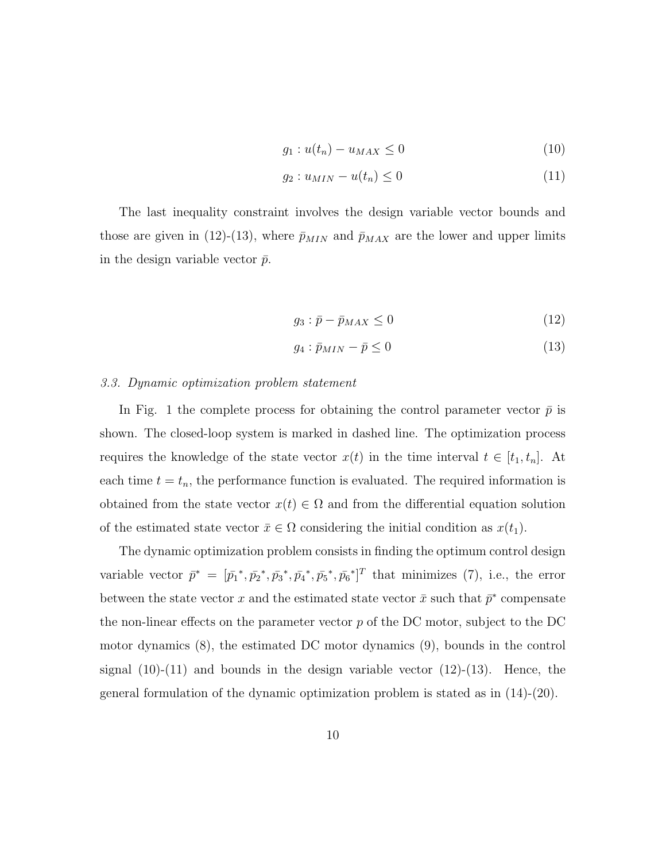$$
g_1: u(t_n) - u_{MAX} \le 0 \tag{10}
$$

$$
g_2: u_{MIN} - u(t_n) \le 0 \tag{11}
$$

The last inequality constraint involves the design variable vector bounds and those are given in (12)-(13), where  $\bar{p}_{MIN}$  and  $\bar{p}_{MAX}$  are the lower and upper limits in the design variable vector  $\bar{p}$ .

$$
g_3: \bar{p} - \bar{p}_{MAX} \le 0 \tag{12}
$$

$$
g_4: \bar{p}_{MIN} - \bar{p} \le 0 \tag{13}
$$

#### 3.3. Dynamic optimization problem statement

In Fig. 1 the complete process for obtaining the control parameter vector  $\bar{p}$  is shown. The closed-loop system is marked in dashed line. The optimization process requires the knowledge of the state vector  $x(t)$  in the time interval  $t \in [t_1, t_n]$ . At each time  $t = t_n$ , the performance function is evaluated. The required information is obtained from the state vector  $x(t) \in \Omega$  and from the differential equation solution of the estimated state vector  $\bar{x} \in \Omega$  considering the initial condition as  $x(t_1)$ .

The dynamic optimization problem consists in finding the optimum control design variable vector  $\bar{p}^* = [\bar{p}_1^*, \bar{p}_2^*, \bar{p}_3^*, \bar{p}_4^*, \bar{p}_5^*, \bar{p}_6^*]^T$  that minimizes (7), i.e., the error between the state vector x and the estimated state vector  $\bar{x}$  such that  $\bar{p}^*$  compensate the non-linear effects on the parameter vector  $p$  of the DC motor, subject to the DC motor dynamics (8), the estimated DC motor dynamics (9), bounds in the control signal  $(10)-(11)$  and bounds in the design variable vector  $(12)-(13)$ . Hence, the general formulation of the dynamic optimization problem is stated as in (14)-(20).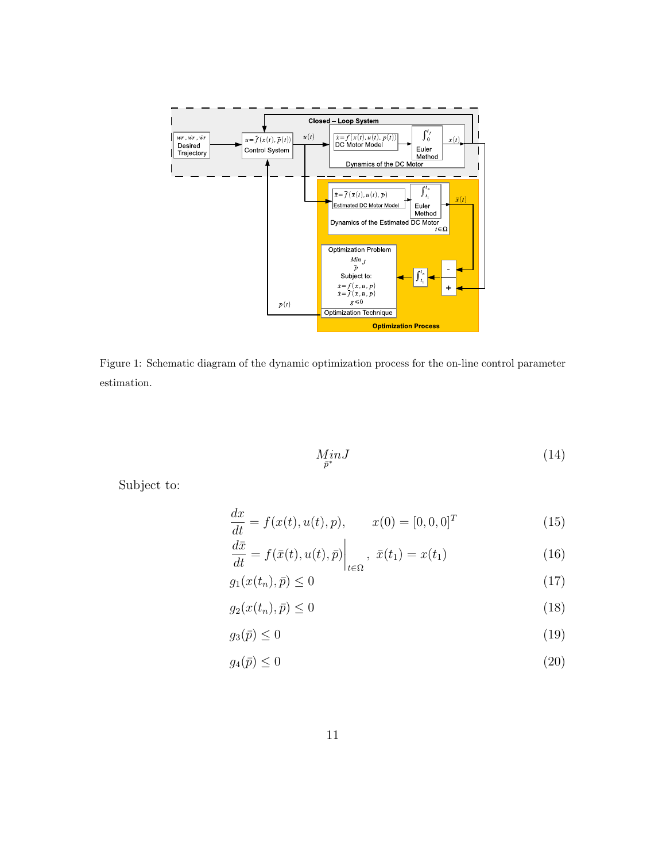

Figure 1: Schematic diagram of the dynamic optimization process for the on-line control parameter estimation.

$$
\underset{\bar{p}^*}{MinJ} \tag{14}
$$

Subject to:

$$
\frac{dx}{dt} = f(x(t), u(t), p), \qquad x(0) = [0, 0, 0]^T
$$
\n(15)

$$
\frac{dx}{dt} = f(\bar{x}(t), u(t), \bar{p})\Big|_{t \in \Omega}, \ \bar{x}(t_1) = x(t_1) \tag{16}
$$

$$
g_1(x(t_n), \bar{p}) \le 0 \tag{17}
$$

$$
g_2(x(t_n), \bar{p}) \le 0 \tag{18}
$$

$$
g_3(\bar{p}) \le 0 \tag{19}
$$

$$
g_4(\bar{p}) \le 0 \tag{20}
$$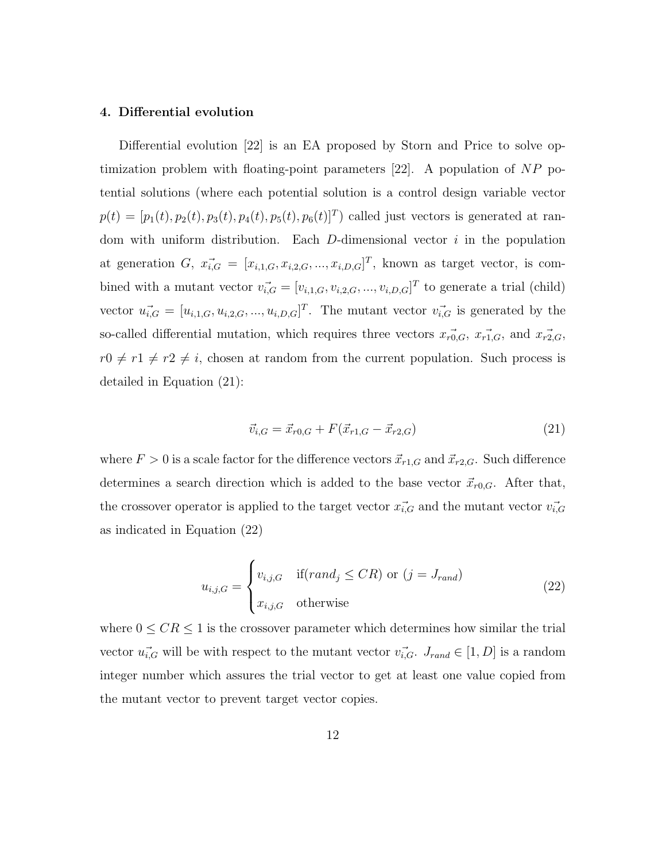#### 4. Differential evolution

Differential evolution [22] is an EA proposed by Storn and Price to solve optimization problem with floating-point parameters  $[22]$ . A population of NP potential solutions (where each potential solution is a control design variable vector  $p(t) = [p_1(t), p_2(t), p_3(t), p_4(t), p_5(t), p_6(t)]^T$  called just vectors is generated at random with uniform distribution. Each  $D$ -dimensional vector  $i$  in the population at generation G,  $\vec{x_{i,G}} = [x_{i,1,G}, x_{i,2,G}, ..., x_{i,D,G}]^T$ , known as target vector, is combined with a mutant vector  $v_{i,G}^{\dagger} = [v_{i,1,G}, v_{i,2,G}, ..., v_{i,D,G}]^T$  to generate a trial (child) vector  $u_{i,G}^{\rightarrow} = [u_{i,1,G}, u_{i,2,G}, ..., u_{i,D,G}]^T$ . The mutant vector  $v_{i,G}^{\rightarrow}$  is generated by the so-called differential mutation, which requires three vectors  $\vec{x_{r0,G}}, \vec{x_{r1,G}},$  and  $\vec{x_{r2,G}},$  $r0 \neq r1 \neq r2 \neq i$ , chosen at random from the current population. Such process is detailed in Equation (21):

$$
\vec{v}_{i,G} = \vec{x}_{r0,G} + F(\vec{x}_{r1,G} - \vec{x}_{r2,G})
$$
\n(21)

where  $F > 0$  is a scale factor for the difference vectors  $\vec{x}_{r1,G}$  and  $\vec{x}_{r2,G}$ . Such difference determines a search direction which is added to the base vector  $\vec{x}_{r0,G}$ . After that, the crossover operator is applied to the target vector  $\vec{x_i}$  and the mutant vector  $\vec{v_i}$ as indicated in Equation (22)

$$
u_{i,j,G} = \begin{cases} v_{i,j,G} & \text{if}(rand_j \leq CR) \text{ or } (j = J_{rand})\\ x_{i,j,G} & \text{otherwise} \end{cases}
$$
(22)

where  $0 \leq CR \leq 1$  is the crossover parameter which determines how similar the trial vector  $u_{i,G}^{\rightarrow}$  will be with respect to the mutant vector  $v_{i,G}^{\rightarrow}$ .  $J_{rand} \in [1, D]$  is a random integer number which assures the trial vector to get at least one value copied from the mutant vector to prevent target vector copies.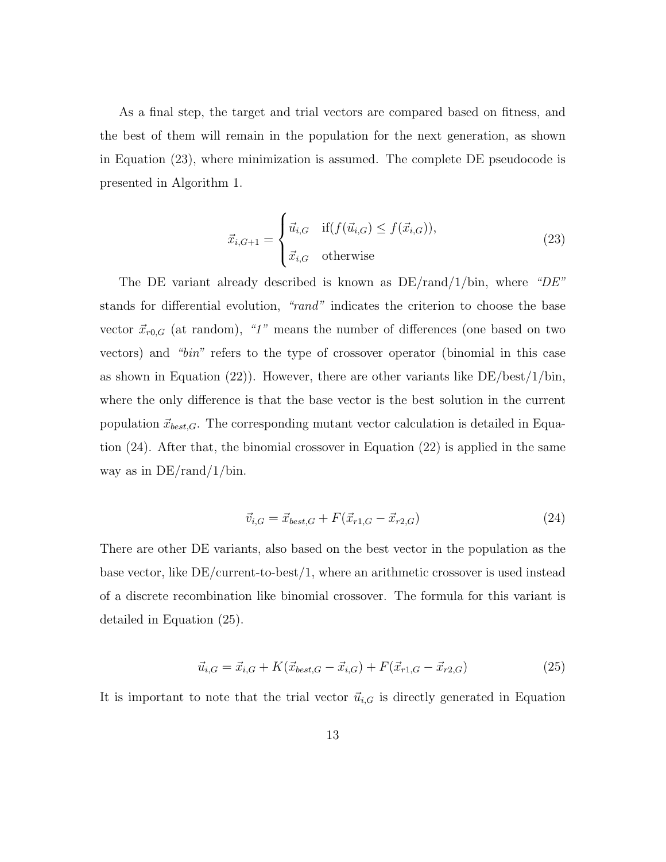As a final step, the target and trial vectors are compared based on fitness, and the best of them will remain in the population for the next generation, as shown in Equation (23), where minimization is assumed. The complete DE pseudocode is presented in Algorithm 1.

$$
\vec{x}_{i,G+1} = \begin{cases} \vec{u}_{i,G} & \text{if}(f(\vec{u}_{i,G}) \le f(\vec{x}_{i,G})),\\ \vec{x}_{i,G} & \text{otherwise} \end{cases} \tag{23}
$$

The DE variant already described is known as  $DE/rand/1/bin$ , where "DE" stands for differential evolution, "rand" indicates the criterion to choose the base vector  $\vec{x}_{r0,G}$  (at random), "1" means the number of differences (one based on two vectors) and "bin" refers to the type of crossover operator (binomial in this case as shown in Equation (22)). However, there are other variants like  $DE/best/1/bin$ , where the only difference is that the base vector is the best solution in the current population  $\vec{x}_{best,G}$ . The corresponding mutant vector calculation is detailed in Equation (24). After that, the binomial crossover in Equation (22) is applied in the same way as in DE/rand/1/bin.

$$
\vec{v}_{i,G} = \vec{x}_{best,G} + F(\vec{x}_{r1,G} - \vec{x}_{r2,G})
$$
\n(24)

There are other DE variants, also based on the best vector in the population as the base vector, like  $DE/current-to-best/1$ , where an arithmetic crossover is used instead of a discrete recombination like binomial crossover. The formula for this variant is detailed in Equation (25).

$$
\vec{u}_{i,G} = \vec{x}_{i,G} + K(\vec{x}_{best,G} - \vec{x}_{i,G}) + F(\vec{x}_{r1,G} - \vec{x}_{r2,G})
$$
\n(25)

It is important to note that the trial vector  $\vec{u}_{i,G}$  is directly generated in Equation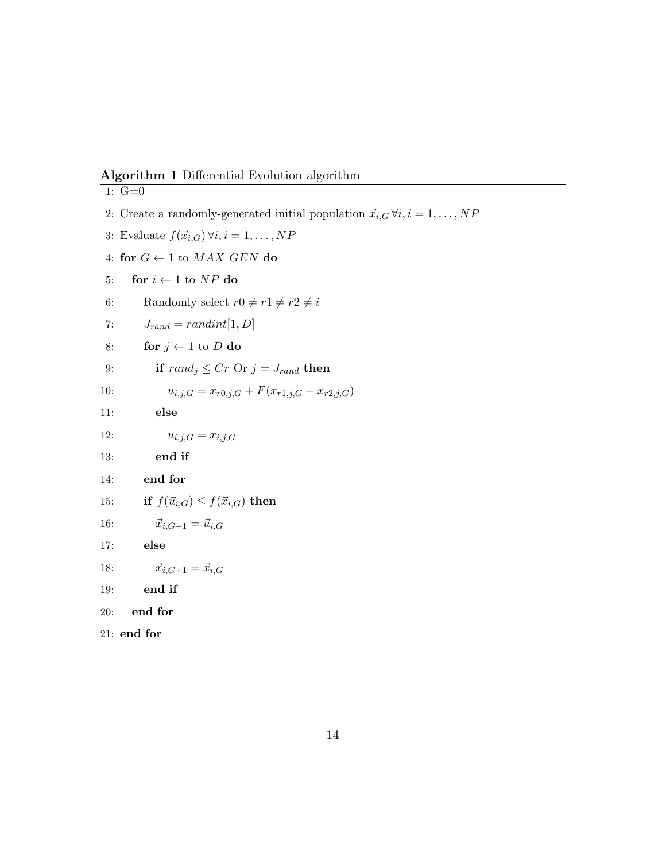## Algorithm 1 Differential Evolution algorithm

1:  $G=0$ 2: Create a randomly-generated initial population  $\vec{x}_{i,G} \forall i, i = 1, \ldots, NP$ 3: Evaluate  $f(\vec{x}_{i,G}) \forall i, i = 1, ..., NP$ 4: for  $G \leftarrow 1$  to  $MAX\_GEN$  do 5: for  $i \leftarrow 1$  to  $NP$  do 6: Randomly select  $r0 \neq r1 \neq r2 \neq i$ 7:  $J_{rand} = randint[1, D]$ 8: for  $j \leftarrow 1$  to D do 9: if  $rand_j \leq Cr$  Or  $j = J_{rand}$  then 10:  $u_{i,j,G} = x_{r0,j,G} + F(x_{r1,j,G} - x_{r2,j,G})$ 11: else 12:  $u_{i,j,G} = x_{i,j,G}$ 13: end if 14: end for 15: if  $f(\vec{u}_{i,G}) \leq f(\vec{x}_{i,G})$  then 16:  $\vec{x}_{i,G+1} = \vec{u}_{i,G}$ 17: else 18:  $\vec{x}_{i,G+1} = \vec{x}_{i,G}$ 19: end if 20: end for 21: end for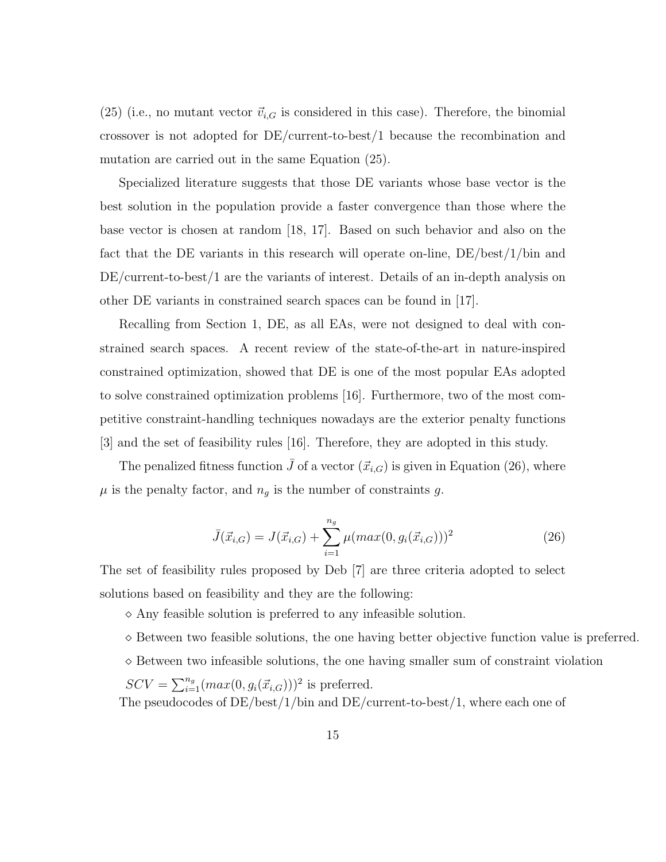(25) (i.e., no mutant vector  $\vec{v}_{i,G}$  is considered in this case). Therefore, the binomial crossover is not adopted for DE/current-to-best/1 because the recombination and mutation are carried out in the same Equation (25).

Specialized literature suggests that those DE variants whose base vector is the best solution in the population provide a faster convergence than those where the base vector is chosen at random [18, 17]. Based on such behavior and also on the fact that the DE variants in this research will operate on-line, DE/best/1/bin and DE/current-to-best/1 are the variants of interest. Details of an in-depth analysis on other DE variants in constrained search spaces can be found in [17].

Recalling from Section 1, DE, as all EAs, were not designed to deal with constrained search spaces. A recent review of the state-of-the-art in nature-inspired constrained optimization, showed that DE is one of the most popular EAs adopted to solve constrained optimization problems [16]. Furthermore, two of the most competitive constraint-handling techniques nowadays are the exterior penalty functions [3] and the set of feasibility rules [16]. Therefore, they are adopted in this study.

The penalized fitness function  $\bar{J}$  of a vector  $(\vec{x}_{i,G})$  is given in Equation (26), where  $\mu$  is the penalty factor, and  $n_g$  is the number of constraints g.

$$
\bar{J}(\vec{x}_{i,G}) = J(\vec{x}_{i,G}) + \sum_{i=1}^{n_g} \mu(max(0, g_i(\vec{x}_{i,G})))^2
$$
\n(26)

The set of feasibility rules proposed by Deb [7] are three criteria adopted to select solutions based on feasibility and they are the following:

 $\Diamond$  Any feasible solution is preferred to any infeasible solution.

- $\Diamond$  Between two feasible solutions, the one having better objective function value is preferred.
- $\Diamond$  Between two infeasible solutions, the one having smaller sum of constraint violation

 $SCV = \sum_{i=1}^{n_g} (max(0, g_i(\vec{x}_{i,G})))^2$  is preferred. The pseudocodes of  $DE/best/1/bin$  and  $DE/current-to-best/1$ , where each one of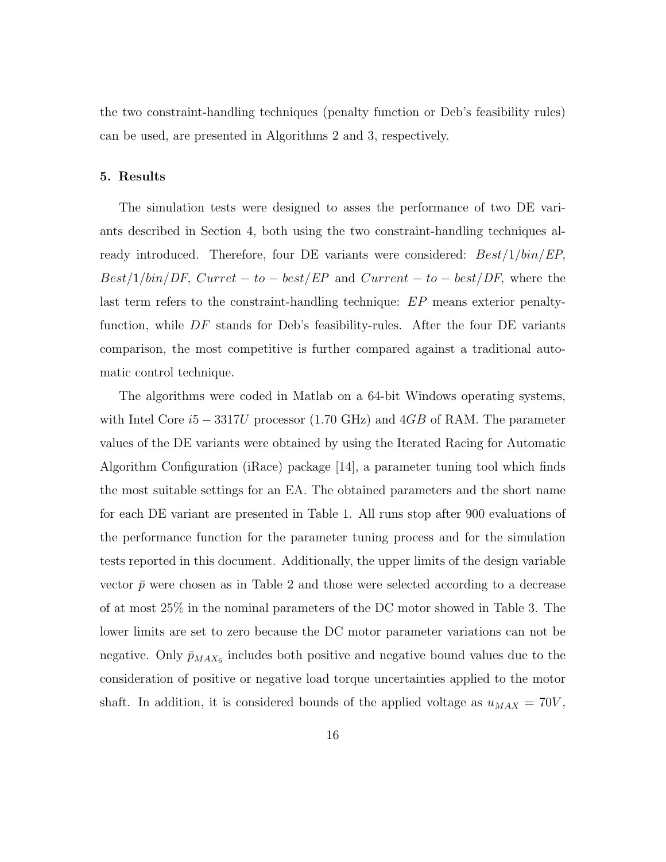the two constraint-handling techniques (penalty function or Deb's feasibility rules) can be used, are presented in Algorithms 2 and 3, respectively.

#### 5. Results

The simulation tests were designed to asses the performance of two DE variants described in Section 4, both using the two constraint-handling techniques already introduced. Therefore, four DE variants were considered:  $Best/1/bin/EP$ ,  $Best/1/bin/DF, Current - to - best/EP$  and  $Current - to - best/DF$ , where the last term refers to the constraint-handling technique: EP means exterior penaltyfunction, while  $DF$  stands for Deb's feasibility-rules. After the four DE variants comparison, the most competitive is further compared against a traditional automatic control technique.

The algorithms were coded in Matlab on a 64-bit Windows operating systems, with Intel Core  $i5 - 3317U$  processor (1.70 GHz) and 4GB of RAM. The parameter values of the DE variants were obtained by using the Iterated Racing for Automatic Algorithm Configuration (iRace) package [14], a parameter tuning tool which finds the most suitable settings for an EA. The obtained parameters and the short name for each DE variant are presented in Table 1. All runs stop after 900 evaluations of the performance function for the parameter tuning process and for the simulation tests reported in this document. Additionally, the upper limits of the design variable vector  $\bar{p}$  were chosen as in Table 2 and those were selected according to a decrease of at most 25% in the nominal parameters of the DC motor showed in Table 3. The lower limits are set to zero because the DC motor parameter variations can not be negative. Only  $\bar{p}_{MAX_6}$  includes both positive and negative bound values due to the consideration of positive or negative load torque uncertainties applied to the motor shaft. In addition, it is considered bounds of the applied voltage as  $u_{MAX} = 70V$ ,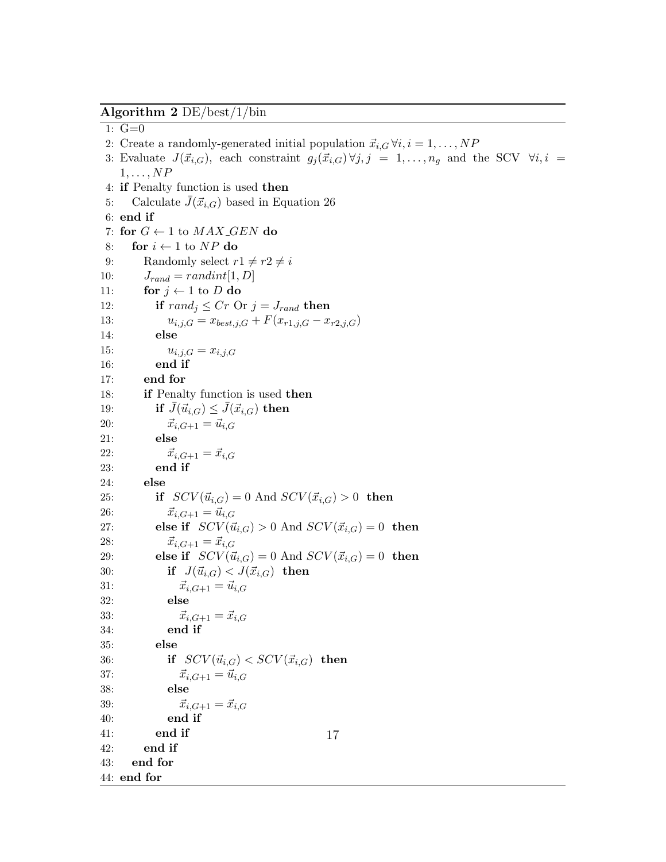Algorithm 2 DE/best/1/bin

1:  $G=0$ 

- 2: Create a randomly-generated initial population  $\vec{x}_{i,G} \forall i, i = 1, \ldots, NP$
- 3: Evaluate  $J(\vec{x}_{i,G})$ , each constraint  $g_j(\vec{x}_{i,G}) \forall j, j = 1, \ldots, n_g$  and the SCV  $\forall i, i =$  $1, \ldots, NP$
- 4: if Penalty function is used then
- 5: Calculate  $J(\vec{x}_{i,G})$  based in Equation 26
- 6: end if
- 7: for  $G \leftarrow 1$  to  $MAX\_GEN$  do
- 8: for  $i \leftarrow 1$  to NP do
- 9: Randomly select  $r1 \neq r2 \neq i$
- 10:  $J_{rand} = randint[1, D]$
- 11: for  $j \leftarrow 1$  to D do
- 12: if  $rand_i \leq Cr$  Or  $j = J_{rand}$  then
- 13:  $u_{i,j,G} = x_{best,j,G} + F(x_{r1,j,G} x_{r2,j,G})$
- 14: else
- 15:  $u_{i,j,G} = x_{i,j,G}$
- 16: end if
- 17: end for
- 18: if Penalty function is used then
- 19: if  $\bar{J}(\vec{u}_{i,G}) \leq \bar{J}(\vec{x}_{i,G})$  then
- 20:  $\vec{x}_{i,G+1} = \vec{u}_{i,G}$
- 21: else
- 22:  $\vec{x}_{i,G+1} = \vec{x}_{i,G}$
- 23: end if
- 24: else

```
25: if SCV(\vec{u}_{i,G}) = 0 And SCV(\vec{x}_{i,G}) > 0 then
```
- 
- 26:  $\vec{x}_{i,G+1} = \vec{u}_{i,G}$
- 27: else if  $SCV(\vec{u}_{i,G}) > 0$  And  $SCV(\vec{x}_{i,G}) = 0$  then
- 28:  $\vec{x}_{i,G+1} = \vec{x}_{i,G}$
- 29: else if  $SCV(\vec{u}_{i,G}) = 0$  And  $SCV(\vec{x}_{i,G}) = 0$  then
- 30: if  $J(\vec{u}_{i,G}) < J(\vec{x}_{i,G})$  then
- 31:  $\vec{x}_{i,G+1} = \vec{u}_{i,G}$
- 32: else
- 33:  $\vec{x}_{i,G+1} = \vec{x}_{i,G}$ 34: end if
	-
- 35: else
- 36: if  $SCV(\vec{u}_{i,G}) < SCV(\vec{x}_{i,G})$  then
- 37:  $\vec{x}_{i,G+1} = \vec{u}_{i,G}$

40: end if 41: end if

- 38: else 39:  $\vec{x}_{i,G+1} = \vec{x}_{i,G}$
- 

- 42: end if 43: end for
- 44: end for
- 
- 
- 
- 
- -
- 17
- 
- 
- 
- 
- -
	-
	-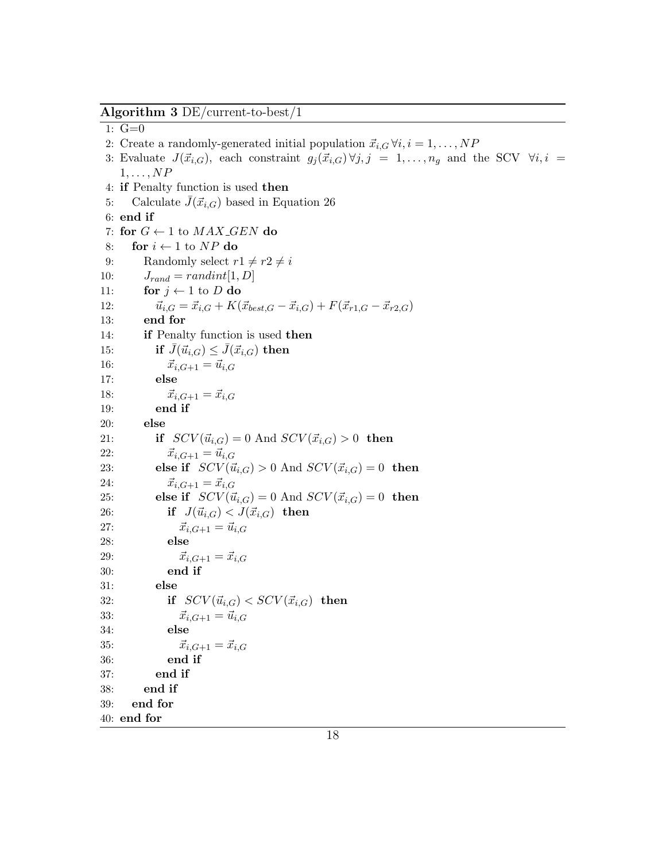Algorithm 3 DE/current-to-best/1

1:  $G=0$ 

- 2: Create a randomly-generated initial population  $\vec{x}_{i,G} \forall i, i = 1, \ldots, NP$
- 3: Evaluate  $J(\vec{x}_{i,G})$ , each constraint  $g_j(\vec{x}_{i,G}) \forall j, j = 1, \ldots, n_g$  and the SCV  $\forall i, i =$  $1, \ldots, NP$
- 4: if Penalty function is used then
- 5: Calculate  $J(\vec{x}_{i,G})$  based in Equation 26

```
6: end if
 7: for G \leftarrow 1 to MAX\_GEN do
 8: for i \leftarrow 1 to NP do
 9: Randomly select r1 \neq r2 \neq i10: J_{rand} = randint[1, D]11: for j \leftarrow 1 to D do
12: \vec{u}_{i,G} = \vec{x}_{i,G} + K(\vec{x}_{best,G} - \vec{x}_{i,G}) + F(\vec{x}_{r1,G} - \vec{x}_{r2,G})13: end for
14: if Penalty function is used then
15: if \bar{J}(\vec{u}_{i,G}) \leq \bar{J}(\vec{x}_{i,G}) then
16: \vec{x}_{i,G+1} = \vec{u}_{i,G}17: else
18: \vec{x}_{i,G+1} = \vec{x}_{i,G}19: end if
20: else
21: if SCV(\vec{u}_{i,G}) = 0 And SCV(\vec{x}_{i,G}) > 0 then
22: \vec{x}_{i,G+1} = \vec{u}_{i,G}23: else if SCV(\vec{u}_{i,G}) > 0 And SCV(\vec{x}_{i,G}) = 0 then
24: \vec{x}_{i,G+1} = \vec{x}_{i,G}25: else if SCV(\vec{u}_{i,G}) = 0 And SCV(\vec{x}_{i,G}) = 0 then
26: if J(\vec{u}_{i,G}) < J(\vec{x}_{i,G}) then
27: \vec{x}_{i,G+1} = \vec{u}_{i,G}28: else
29: \vec{x}_{i,G+1} = \vec{x}_{i,G}30: end if
31: else
32: if SCV(\vec{u}_{i,G}) < SCV(\vec{x}_{i,G}) then
33: \vec{x}_{i,G+1} = \vec{u}_{i,G}34: else
35: \vec{x}_{i,G+1} = \vec{x}_{i,G}36: end if
37: end if
38: end if
39: end for
40: end for
```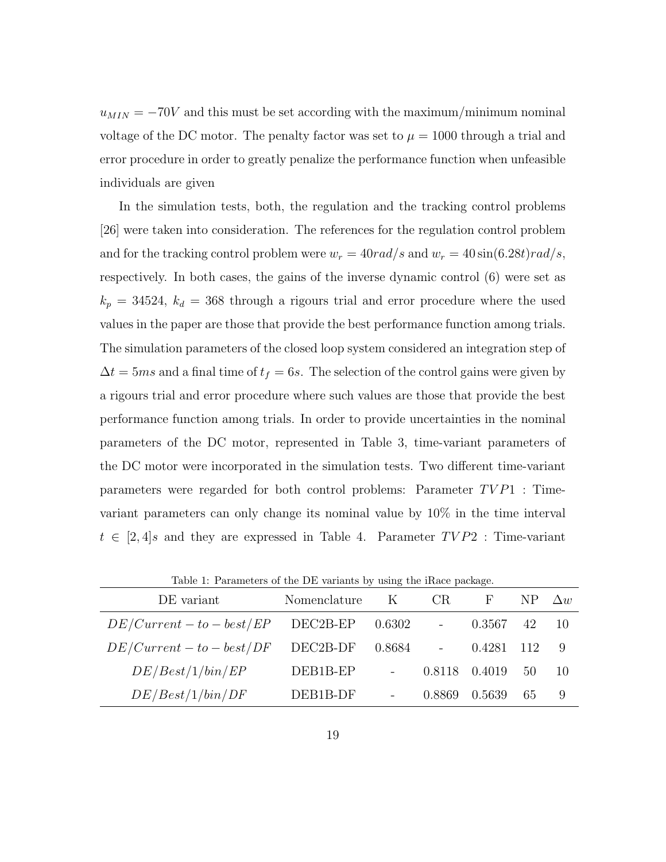$u_{MIN} = -70V$  and this must be set according with the maximum/minimum nominal voltage of the DC motor. The penalty factor was set to  $\mu = 1000$  through a trial and error procedure in order to greatly penalize the performance function when unfeasible individuals are given

In the simulation tests, both, the regulation and the tracking control problems [26] were taken into consideration. The references for the regulation control problem and for the tracking control problem were  $w_r = 40rad/s$  and  $w_r = 40 \sin(6.28t) rad/s$ , respectively. In both cases, the gains of the inverse dynamic control (6) were set as  $k_p = 34524$ ,  $k_d = 368$  through a rigours trial and error procedure where the used values in the paper are those that provide the best performance function among trials. The simulation parameters of the closed loop system considered an integration step of  $\Delta t = 5ms$  and a final time of  $t_f = 6s$ . The selection of the control gains were given by a rigours trial and error procedure where such values are those that provide the best performance function among trials. In order to provide uncertainties in the nominal parameters of the DC motor, represented in Table 3, time-variant parameters of the DC motor were incorporated in the simulation tests. Two different time-variant parameters were regarded for both control problems: Parameter  $TVP1$  : Timevariant parameters can only change its nominal value by 10% in the time interval  $t \in [2, 4]$ s and they are expressed in Table 4. Parameter  $TVP2$ : Time-variant

| Twent 1. I arrangely of the DD variation by ability the fracte package. |              |        |        |        |     |            |
|-------------------------------------------------------------------------|--------------|--------|--------|--------|-----|------------|
| DE variant                                                              | Nomenclature | K      | CR.    | H      |     | $\Delta w$ |
| $DE/Current - to - best/EP$                                             | DEC2B-EP     | 0.6302 |        | 0.3567 | 42  | -10        |
| $DE/Current - to - best/DF$                                             | DEC2B-DF     | 0.8684 |        | 0.4281 | 112 | 9          |
| DE/Best/1/bin/EP                                                        | DEB1B-EP     |        | 0.8118 | 0.4019 | 50  | 10         |
| DE/Best/1/bin/DF                                                        | DEB1B-DF     |        | 0.8869 | 0.5639 | 65  | 9          |

Table 1: Parameters of the DE variants by using the iRace package.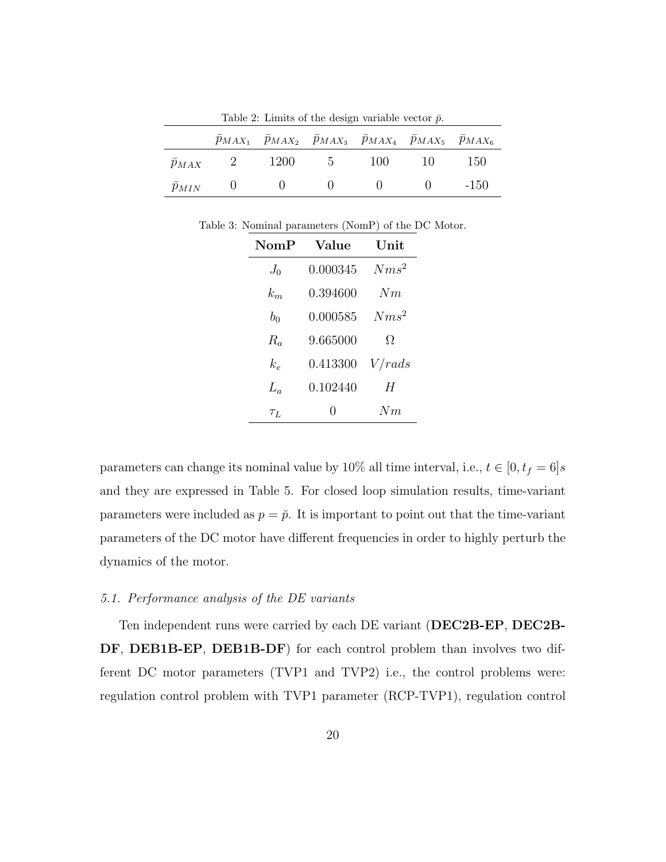|                 |                | Table 2: Limits of the design variable vector $\bar{p}$ .                                                |            |            |    |        |
|-----------------|----------------|----------------------------------------------------------------------------------------------------------|------------|------------|----|--------|
|                 |                | $\overline{p}_{MAX_1}$ $\overline{p}_{MAX_2}$ $\overline{p}_{MAX_3}$ $p_{MAX_4}$ $p_{MAX_5}$ $p_{MAX_6}$ |            |            |    |        |
| $\bar{p}_{MAX}$ | $\overline{2}$ | 1200                                                                                                     | $5\degree$ | 100        | 10 | -150   |
| $\bar{p}_{MIN}$ |                | $(1)$ $(1)$                                                                                              | $\bigcup$  | $\sim$ 0 0 |    | $-150$ |

Table 3: Nominal parameters (NomP) of the DC Motor.

| $\mathbf{NomP}$ | Value    | Unit    |
|-----------------|----------|---------|
| $J_0$           | 0.000345 | $Nms^2$ |
| $k_{m}$         | 0.394600 | Nm      |
| $b_0$           | 0.000585 | $Nms^2$ |
| $R_a$           | 9.665000 | Ω       |
| $k_{e}$         | 0.413300 | V/rads  |
| $L_a$           | 0.102440 | H       |
| $\tau_L$        | 0        | Nm      |

parameters can change its nominal value by 10% all time interval, i.e.,  $t \in [0, t_f = 6]s$ and they are expressed in Table 5. For closed loop simulation results, time-variant parameters were included as  $p = \check{p}$ . It is important to point out that the time-variant parameters of the DC motor have different frequencies in order to highly perturb the dynamics of the motor.

### 5.1. Performance analysis of the DE variants

Ten independent runs were carried by each DE variant (DEC2B-EP, DEC2B-DF, DEB1B-EP, DEB1B-DF) for each control problem than involves two different DC motor parameters (TVP1 and TVP2) i.e., the control problems were: regulation control problem with TVP1 parameter (RCP-TVP1), regulation control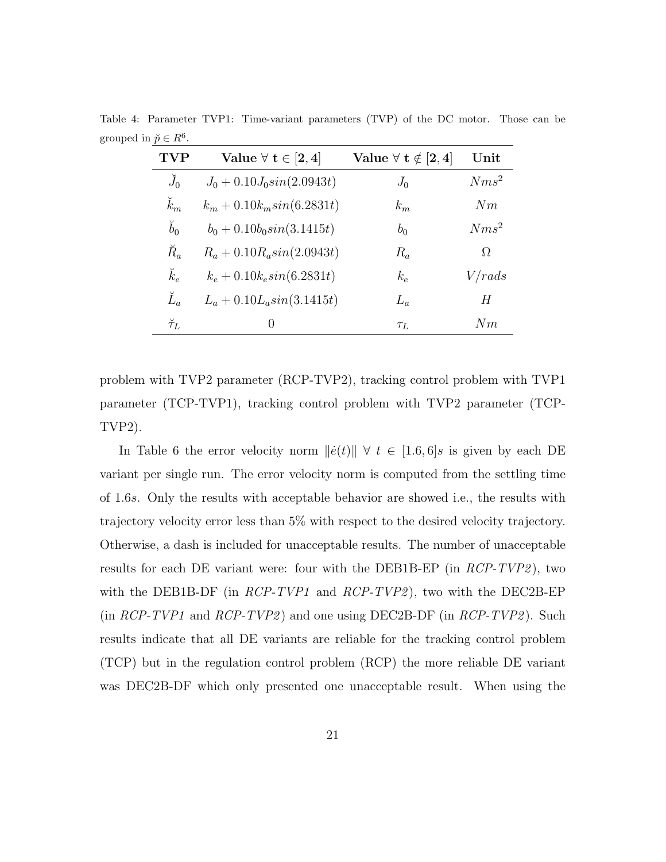|                                  | Table 4: Parameter TVP1: Time-variant parameters (TVP) of the DC motor. Those can be |  |  |  |  |
|----------------------------------|--------------------------------------------------------------------------------------|--|--|--|--|
| grouped in $\breve{p} \in R^6$ . |                                                                                      |  |  |  |  |

| TVP              | Value $\forall$ t $\in$ [2, 4] | Value $\forall$ t $\notin$ [2, 4] | $\bold{Unit}$ |
|------------------|--------------------------------|-----------------------------------|---------------|
| $\breve{J}_0$    | $J_0 + 0.10 J_0 \sin(2.0943t)$ | $J_0$                             | $Nms^2$       |
| $\breve k_m$     | $k_m + 0.10k_m sin(6.2831t)$   | $k_m$                             | Nm            |
| $\breve{b}_0$    | $b_0 + 0.10b_0\sin(3.1415t)$   | $b_0$                             | $Nms^2$       |
| $\breve{R}_a$    | $R_a + 0.10 R_a sin(2.0943t)$  | $R_a$                             | Ω             |
| $\breve{k}_e$    | $k_e + 0.10k_e sin(6.2831t)$   | $k_e$                             | V/rads        |
| $\check{L}_a$    | $L_a + 0.10L_a sin(3.1415t)$   | $L_a$                             | Н             |
| $\breve{\tau}_L$ | $\theta$                       | $\tau_L$                          | Nm            |

problem with TVP2 parameter (RCP-TVP2), tracking control problem with TVP1 parameter (TCP-TVP1), tracking control problem with TVP2 parameter (TCP-TVP2).

In Table 6 the error velocity norm  $\|\dot{e}(t)\| \forall t \in [1.6, 6]$ s is given by each DE variant per single run. The error velocity norm is computed from the settling time of 1.6s. Only the results with acceptable behavior are showed i.e., the results with trajectory velocity error less than 5% with respect to the desired velocity trajectory. Otherwise, a dash is included for unacceptable results. The number of unacceptable results for each DE variant were: four with the DEB1B-EP (in RCP-TVP2), two with the DEB1B-DF (in  $RCP-TVP1$  and  $RCP-TVP2$ ), two with the DEC2B-EP (in  $RCP-TVP1$  and  $RCP-TVP2$ ) and one using DEC2B-DF (in  $RCP-TVP2$ ). Such results indicate that all DE variants are reliable for the tracking control problem (TCP) but in the regulation control problem (RCP) the more reliable DE variant was DEC2B-DF which only presented one unacceptable result. When using the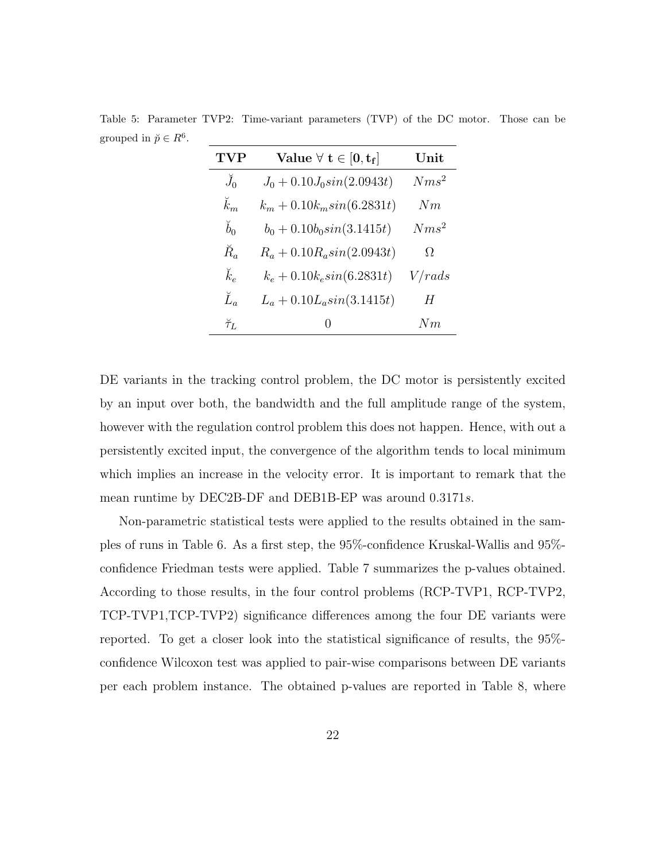Table 5: Parameter TVP2: Time-variant parameters (TVP) of the DC motor. Those can be grouped in  $\breve{p} \in R^6$ .

| TVP              | Value $\forall$ $t \in [0, t_f]$ | Unit    |
|------------------|----------------------------------|---------|
| $\check{J}_0$    | $J_0 + 0.10 J_0 \sin(2.0943t)$   | $Nms^2$ |
| $\breve{k}_m$    | $k_m + 0.10k_m sin(6.2831t)$     | Nm      |
| $\breve{b}_0$    | $b_0 + 0.10b_0\sin(3.1415t)$     | $Nms^2$ |
| $\breve{R}_a$    | $R_a + 0.10 R_a sin(2.0943t)$    | Ω       |
| $\breve k_e$     | $k_e + 0.10k_e sin(6.2831t)$     | V/rads  |
| $\check{L}_a$    | $L_a + 0.10L_a sin(3.1415t)$     | H       |
| $\breve{\tau}_L$ | 0                                | Nm      |

DE variants in the tracking control problem, the DC motor is persistently excited by an input over both, the bandwidth and the full amplitude range of the system, however with the regulation control problem this does not happen. Hence, with out a persistently excited input, the convergence of the algorithm tends to local minimum which implies an increase in the velocity error. It is important to remark that the mean runtime by DEC2B-DF and DEB1B-EP was around 0.3171s.

Non-parametric statistical tests were applied to the results obtained in the samples of runs in Table 6. As a first step, the 95%-confidence Kruskal-Wallis and 95% confidence Friedman tests were applied. Table 7 summarizes the p-values obtained. According to those results, in the four control problems (RCP-TVP1, RCP-TVP2, TCP-TVP1,TCP-TVP2) significance differences among the four DE variants were reported. To get a closer look into the statistical significance of results, the 95% confidence Wilcoxon test was applied to pair-wise comparisons between DE variants per each problem instance. The obtained p-values are reported in Table 8, where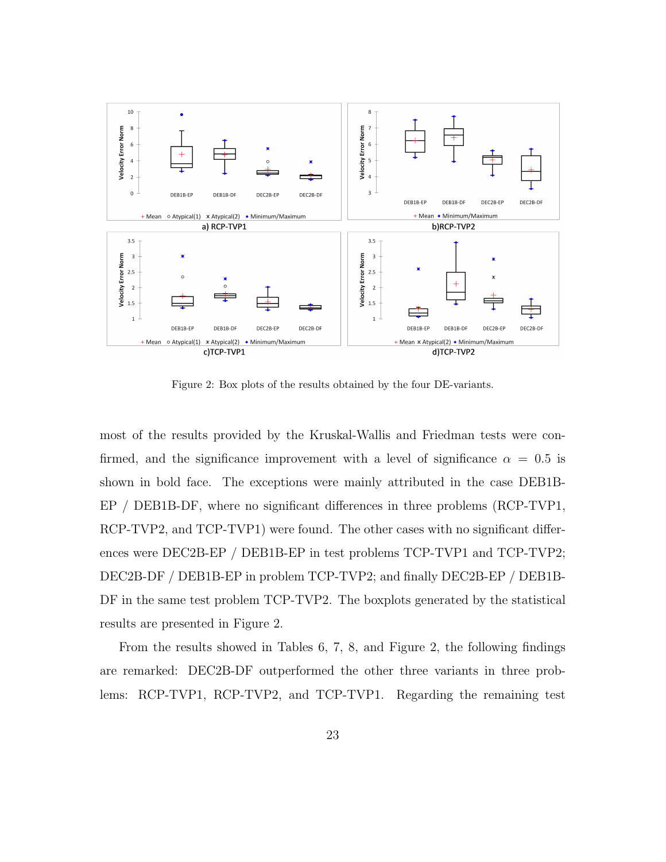

Figure 2: Box plots of the results obtained by the four DE-variants.

most of the results provided by the Kruskal-Wallis and Friedman tests were confirmed, and the significance improvement with a level of significance  $\alpha = 0.5$  is shown in bold face. The exceptions were mainly attributed in the case DEB1B-EP / DEB1B-DF, where no significant differences in three problems (RCP-TVP1, RCP-TVP2, and TCP-TVP1) were found. The other cases with no significant differences were DEC2B-EP / DEB1B-EP in test problems TCP-TVP1 and TCP-TVP2; DEC2B-DF / DEB1B-EP in problem TCP-TVP2; and finally DEC2B-EP / DEB1B-DF in the same test problem TCP-TVP2. The boxplots generated by the statistical results are presented in Figure 2.

From the results showed in Tables 6, 7, 8, and Figure 2, the following findings are remarked: DEC2B-DF outperformed the other three variants in three problems: RCP-TVP1, RCP-TVP2, and TCP-TVP1. Regarding the remaining test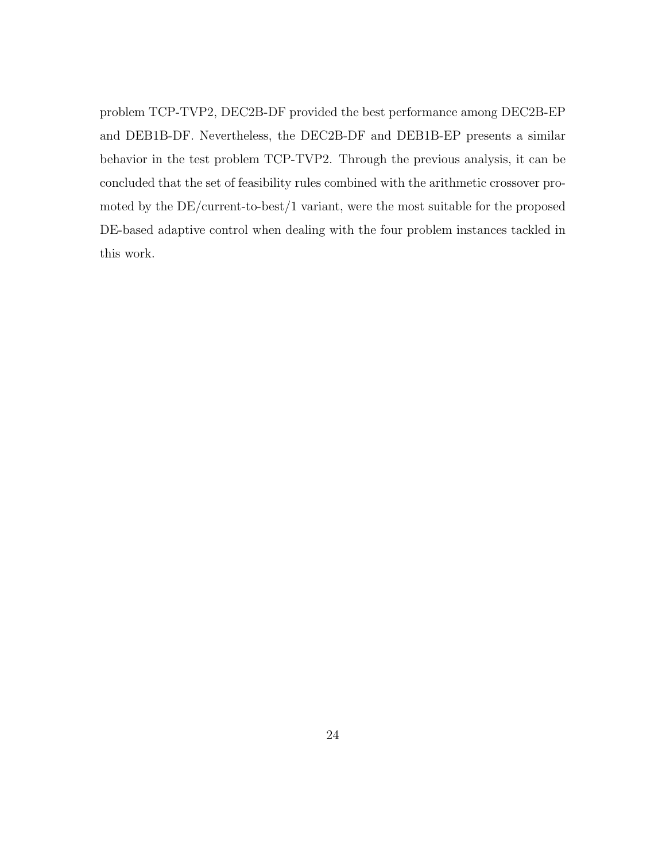problem TCP-TVP2, DEC2B-DF provided the best performance among DEC2B-EP and DEB1B-DF. Nevertheless, the DEC2B-DF and DEB1B-EP presents a similar behavior in the test problem TCP-TVP2. Through the previous analysis, it can be concluded that the set of feasibility rules combined with the arithmetic crossover promoted by the DE/current-to-best/1 variant, were the most suitable for the proposed DE-based adaptive control when dealing with the four problem instances tackled in this work.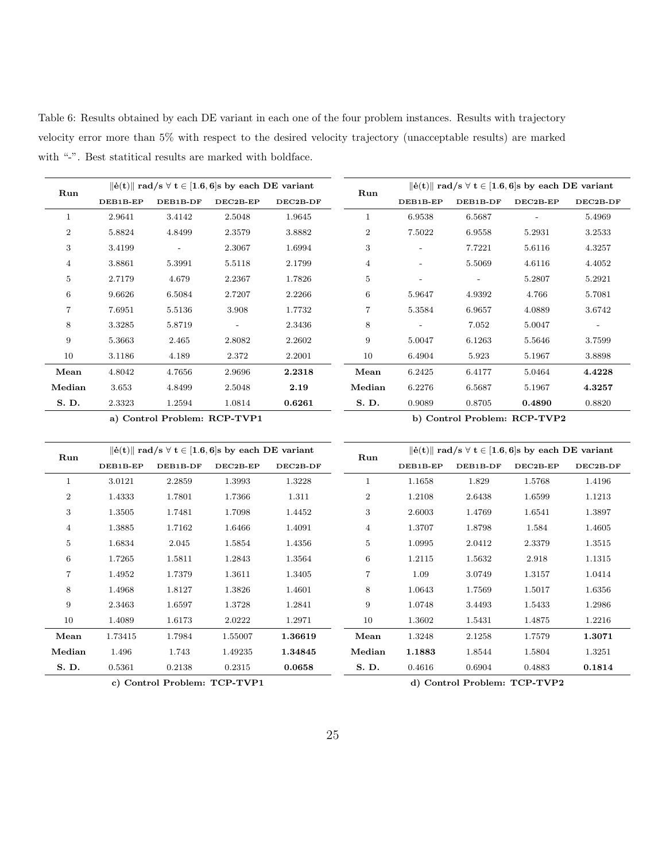Table 6: Results obtained by each DE variant in each one of the four problem instances. Results with trajectory velocity error more than 5% with respect to the desired velocity trajectory (unacceptable results) are marked with "-". Best statitical results are marked with boldface.

| $\ \dot{\mathbf{e}}(\mathbf{t})\ $ rad/s $\forall$ $\mathbf{t} \in [1.6, 6]$ s by each DE variant<br>Run |          |                          |            | Run      | $\ \dot{\mathbf{e}}(\mathbf{t})\ $ rad/s $\forall$ $\mathbf{t} \in [1.6, 6]$ s by each DE variant |          |          |            |                          |
|----------------------------------------------------------------------------------------------------------|----------|--------------------------|------------|----------|---------------------------------------------------------------------------------------------------|----------|----------|------------|--------------------------|
|                                                                                                          | DEB1B-EP | DEB1B-DF                 | $DEC2B-EP$ | DEC2B-DF |                                                                                                   | DEB1B-EP | DEB1B-DF | $DEC2B-EP$ | DEC2B-DF                 |
|                                                                                                          | 2.9641   | 3.4142                   | 2.5048     | 1.9645   | 1                                                                                                 | 6.9538   | 6.5687   |            | 5.4969                   |
| $\overline{2}$                                                                                           | 5.8824   | 4.8499                   | 2.3579     | 3.8882   | $\overline{2}$                                                                                    | 7.5022   | 6.9558   | 5.2931     | 3.2533                   |
| 3                                                                                                        | 3.4199   | $\overline{\phantom{a}}$ | 2.3067     | 1.6994   | 3                                                                                                 |          | 7.7221   | 5.6116     | 4.3257                   |
| $\overline{4}$                                                                                           | 3.8861   | 5.3991                   | 5.5118     | 2.1799   | 4                                                                                                 |          | 5.5069   | 4.6116     | 4.4052                   |
| 5                                                                                                        | 2.7179   | 4.679                    | 2.2367     | 1.7826   | 5                                                                                                 |          |          | 5.2807     | 5.2921                   |
| 6                                                                                                        | 9.6626   | 6.5084                   | 2.7207     | 2.2266   | 6                                                                                                 | 5.9647   | 4.9392   | 4.766      | 5.7081                   |
| 7                                                                                                        | 7.6951   | 5.5136                   | 3.908      | 1.7732   | 7                                                                                                 | 5.3584   | 6.9657   | 4.0889     | 3.6742                   |
| 8                                                                                                        | 3.3285   | 5.8719                   |            | 2.3436   | 8                                                                                                 |          | 7.052    | 5.0047     | $\overline{\phantom{a}}$ |
| 9                                                                                                        | 5.3663   | 2.465                    | 2.8082     | 2.2602   | 9                                                                                                 | 5.0047   | 6.1263   | 5.5646     | 3.7599                   |
| 10                                                                                                       | 3.1186   | 4.189                    | 2.372      | 2.2001   | 10                                                                                                | 6.4904   | 5.923    | 5.1967     | 3.8898                   |
| Mean                                                                                                     | 4.8042   | 4.7656                   | 2.9696     | 2.2318   | Mean                                                                                              | 6.2425   | 6.4177   | 5.0464     | 4.4228                   |
| Median                                                                                                   | 3.653    | 4.8499                   | 2.5048     | 2.19     | Median                                                                                            | 6.2276   | 6.5687   | 5.1967     | 4.3257                   |
| S. D.                                                                                                    | 2.3323   | 1.2594                   | 1.0814     | 0.6261   | S. D.                                                                                             | 0.9089   | 0.8705   | 0.4890     | 0.8820                   |

a) Control Problem: RCP-TVP1 b) Control Problem: RCP-TVP2

| Run            |          |          | $\ \dot{\mathbf{e}}(\mathbf{t})\ $ rad/s $\forall$ $\mathbf{t} \in [1.6, 6]$ s by each DE variant |          | Run            |          |          | $\ \dot{\mathbf{e}}(\mathbf{t})\ $ rad/s $\forall$ $\mathbf{t} \in [1.6, 6]$ s by each DE variant |            |
|----------------|----------|----------|---------------------------------------------------------------------------------------------------|----------|----------------|----------|----------|---------------------------------------------------------------------------------------------------|------------|
|                | DEB1B-EP | DEB1B-DF | $DEC2B-EP$                                                                                        | DEC2B-DF |                | DEB1B-EP | DEB1B-DF | $DEC2B-EP$                                                                                        | $DEC2B-DF$ |
| 1              | 3.0121   | 2.2859   | 1.3993                                                                                            | 1.3228   |                | 1.1658   | 1.829    | 1.5768                                                                                            | 1.4196     |
| $\overline{2}$ | 1.4333   | 1.7801   | 1.7366                                                                                            | 1.311    | $\overline{2}$ | 1.2108   | 2.6438   | 1.6599                                                                                            | 1.1213     |
| 3              | 1.3505   | 1.7481   | 1.7098                                                                                            | 1.4452   | 3              | 2.6003   | 1.4769   | 1.6541                                                                                            | 1.3897     |
| 4              | 1.3885   | 1.7162   | 1.6466                                                                                            | 1.4091   | 4              | 1.3707   | 1.8798   | 1.584                                                                                             | 1.4605     |
| 5              | 1.6834   | 2.045    | 1.5854                                                                                            | 1.4356   | $\overline{5}$ | 1.0995   | 2.0412   | 2.3379                                                                                            | 1.3515     |
| 6              | 1.7265   | 1.5811   | 1.2843                                                                                            | 1.3564   | $\,6\,$        | 1.2115   | 1.5632   | 2.918                                                                                             | 1.1315     |
| 7              | 1.4952   | 1.7379   | 1.3611                                                                                            | 1.3405   | $\overline{7}$ | 1.09     | 3.0749   | 1.3157                                                                                            | 1.0414     |
| 8              | 1.4968   | 1.8127   | 1.3826                                                                                            | 1.4601   | 8              | 1.0643   | 1.7569   | 1.5017                                                                                            | 1.6356     |
| 9              | 2.3463   | 1.6597   | 1.3728                                                                                            | 1.2841   | 9              | 1.0748   | 3.4493   | 1.5433                                                                                            | 1.2986     |
| 10             | 1.4089   | 1.6173   | 2.0222                                                                                            | 1.2971   | 10             | 1.3602   | 1.5431   | 1.4875                                                                                            | 1.2216     |
| Mean           | 1.73415  | 1.7984   | 1.55007                                                                                           | 1.36619  | Mean           | 1.3248   | 2.1258   | 1.7579                                                                                            | 1.3071     |
| Median         | 1.496    | 1.743    | 1.49235                                                                                           | 1.34845  | Median         | 1.1883   | 1.8544   | 1.5804                                                                                            | 1.3251     |
| S. D.          | 0.5361   | 0.2138   | 0.2315                                                                                            | 0.0658   | S. D.          | 0.4616   | 0.6904   | 0.4883                                                                                            | 0.1814     |

c) Control Problem: TCP-TVP1 d) Control Problem: TCP-TVP2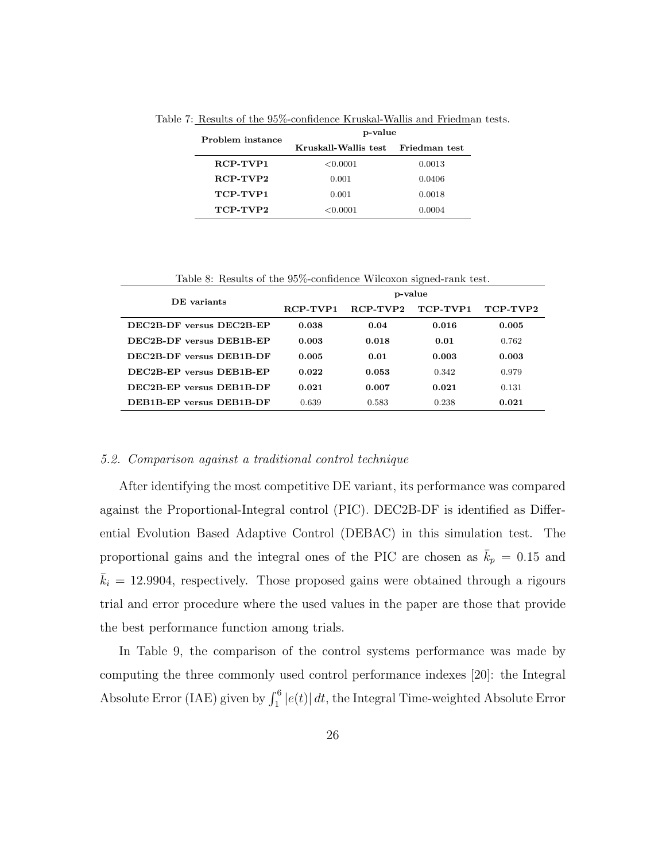| Problem instance | p-value              |               |  |  |  |  |
|------------------|----------------------|---------------|--|--|--|--|
|                  | Kruskall-Wallis test | Friedman test |  |  |  |  |
| RCP-TVP1         | < 0.0001             | 0.0013        |  |  |  |  |
| RCP-TVP2         | 0.001                | 0.0406        |  |  |  |  |
| TCP-TVP1         | 0.001                | 0.0018        |  |  |  |  |
| TCP-TVP2         | < 0.0001             | 0.0004        |  |  |  |  |

Table 7: Results of the 95%-confidence Kruskal-Wallis and Friedman tests.

| Table 8: Results of the 95%-confidence Wilcoxon signed-rank test. |          |            |          |          |
|-------------------------------------------------------------------|----------|------------|----------|----------|
| DE variants                                                       |          | p-value    |          |          |
|                                                                   | RCP-TVP1 | $RCP-TVP2$ | TCP-TVP1 | TCP-TVP2 |
| DEC2B-DF versus DEC2B-EP                                          | 0.038    | 0.04       | 0.016    | 0.005    |
| DEC2B-DF versus DEB1B-EP                                          | 0.003    | 0.018      | 0.01     | 0.762    |
| DEC2B-DF versus DEB1B-DF                                          | 0.005    | 0.01       | 0.003    | 0.003    |
| DEC2B-EP versus DEB1B-EP                                          | 0.022    | 0.053      | 0.342    | 0.979    |
| DEC2B-EP versus DEB1B-DF                                          | 0.021    | 0.007      | 0.021    | 0.131    |
| <b>DEB1B-EP</b> versus <b>DEB1B-DF</b>                            | 0.639    | 0.583      | 0.238    | 0.021    |

#### 5.2. Comparison against a traditional control technique

After identifying the most competitive DE variant, its performance was compared against the Proportional-Integral control (PIC). DEC2B-DF is identified as Differential Evolution Based Adaptive Control (DEBAC) in this simulation test. The proportional gains and the integral ones of the PIC are chosen as  $\bar{k}_p = 0.15$  and  $\bar{k}_i = 12.9904$ , respectively. Those proposed gains were obtained through a rigours trial and error procedure where the used values in the paper are those that provide the best performance function among trials.

In Table 9, the comparison of the control systems performance was made by computing the three commonly used control performance indexes [20]: the Integral Absolute Error (IAE) given by  $\int_1^6 |e(t)| dt$ , the Integral Time-weighted Absolute Error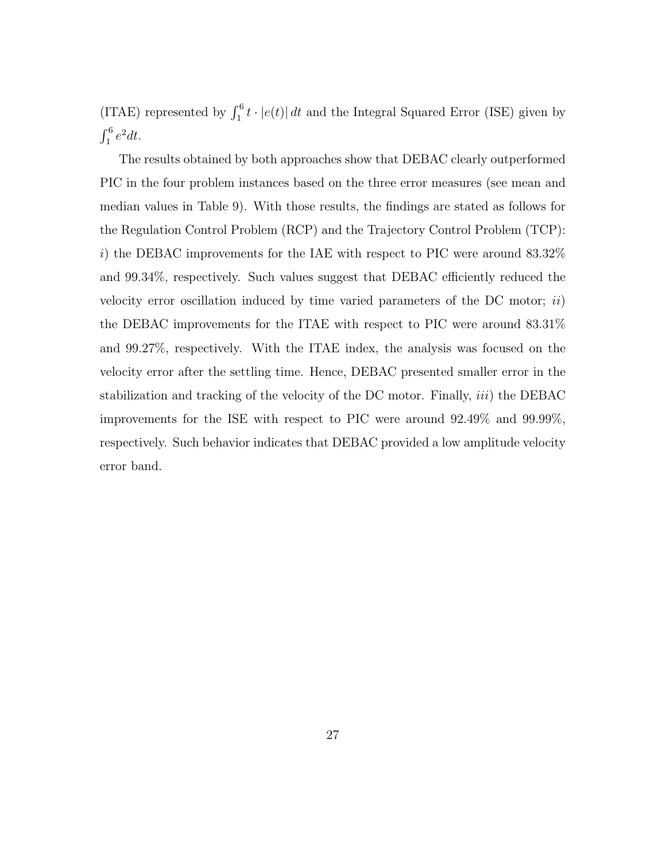(ITAE) represented by  $\int_1^6 t \cdot |e(t)| dt$  and the Integral Squared Error (ISE) given by  $\int_1^6 e^2 dt$ .

The results obtained by both approaches show that DEBAC clearly outperformed PIC in the four problem instances based on the three error measures (see mean and median values in Table 9). With those results, the findings are stated as follows for the Regulation Control Problem (RCP) and the Trajectory Control Problem (TCP): i) the DEBAC improvements for the IAE with respect to PIC were around  $83.32\%$ and 99.34%, respectively. Such values suggest that DEBAC efficiently reduced the velocity error oscillation induced by time varied parameters of the DC motor;  $ii)$ the DEBAC improvements for the ITAE with respect to PIC were around 83.31% and 99.27%, respectively. With the ITAE index, the analysis was focused on the velocity error after the settling time. Hence, DEBAC presented smaller error in the stabilization and tracking of the velocity of the DC motor. Finally,  $iii)$  the DEBAC improvements for the ISE with respect to PIC were around 92.49% and 99.99%, respectively. Such behavior indicates that DEBAC provided a low amplitude velocity error band.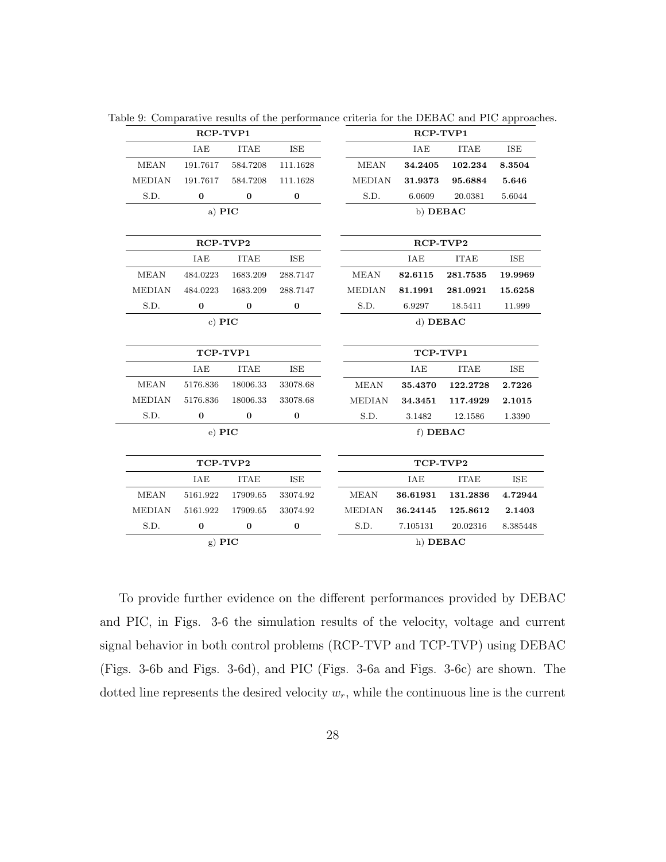|               | RCP-TVP1      |             |            | RCP-TVP1      |            |             |            |  |
|---------------|---------------|-------------|------------|---------------|------------|-------------|------------|--|
|               | <b>IAE</b>    | <b>ITAE</b> | <b>ISE</b> |               | IAE        | <b>ITAE</b> | <b>ISE</b> |  |
| <b>MEAN</b>   | 191.7617      | 584.7208    | 111.1628   | <b>MEAN</b>   | 34.2405    | 102.234     | 8.3504     |  |
| <b>MEDIAN</b> | 191.7617      | 584.7208    | 111.1628   | <b>MEDIAN</b> | 31.9373    | 95.6884     | 5.646      |  |
| S.D.          | $\bf{0}$      | $\bf{0}$    | $\bf{0}$   | S.D.          | 6.0609     | 20.0381     | 5.6044     |  |
|               | a) PIC        |             |            | b) DEBAC      |            |             |            |  |
|               | RCP-TVP2      |             |            |               | RCP-TVP2   |             |            |  |
|               | IAE           | <b>ITAE</b> | ISE        |               | IAE        | <b>ITAE</b> | <b>ISE</b> |  |
| <b>MEAN</b>   | 484.0223      | 1683.209    | 288.7147   | <b>MEAN</b>   | 82.6115    | 281.7535    | 19.9969    |  |
| <b>MEDIAN</b> | 484.0223      | 1683.209    | 288.7147   | <b>MEDIAN</b> | 81.1991    | 281.0921    | 15.6258    |  |
| S.D.          | $\bf{0}$      | $\bf{0}$    | $\bf{0}$   | S.D.          | 6.9297     | 18.5411     | 11.999     |  |
|               | c) $\bf{PIC}$ |             |            |               | d) DEBAC   |             |            |  |
| TCP-TVP1      |               |             |            |               | TCP-TVP1   |             |            |  |
|               | IAE           | <b>ITAE</b> | ISE        |               | IAE        | <b>ITAE</b> | ISE        |  |
| <b>MEAN</b>   | 5176.836      | 18006.33    | 33078.68   | <b>MEAN</b>   | 35.4370    | 122.2728    | 2.7226     |  |
| <b>MEDIAN</b> | 5176.836      | 18006.33    | 33078.68   | <b>MEDIAN</b> | 34.3451    | 117.4929    | 2.1015     |  |
| S.D.          | $\bf{0}$      | $\bf{0}$    | $\bf{0}$   | S.D.          | 3.1482     | 12.1586     | 1.3390     |  |
|               | e) PIC        |             |            |               | f) DEBAC   |             |            |  |
|               | TCP-TVP2      |             |            |               | TCP-TVP2   |             |            |  |
|               | IAE           | <b>ITAE</b> | <b>ISE</b> |               | <b>IAE</b> | <b>ITAE</b> | <b>ISE</b> |  |
| <b>MEAN</b>   | 5161.922      | 17909.65    | 33074.92   | <b>MEAN</b>   | 36.61931   | 131.2836    | 4.72944    |  |
| <b>MEDIAN</b> | 5161.922      | 17909.65    | 33074.92   | <b>MEDIAN</b> | 36.24145   | 125.8612    | 2.1403     |  |
| S.D.          | $\bf{0}$      | $\bf{0}$    | $\bf{0}$   | S.D.          | 7.105131   | 20.02316    | 8.385448   |  |
|               | $g)$ PIC      |             |            |               | h) DEBAC   |             |            |  |

Table 9: Comparative results of the performance criteria for the DEBAC and PIC approaches.

To provide further evidence on the different performances provided by DEBAC and PIC, in Figs. 3-6 the simulation results of the velocity, voltage and current signal behavior in both control problems (RCP-TVP and TCP-TVP) using DEBAC (Figs. 3-6b and Figs. 3-6d), and PIC (Figs. 3-6a and Figs. 3-6c) are shown. The dotted line represents the desired velocity  $w_r$ , while the continuous line is the current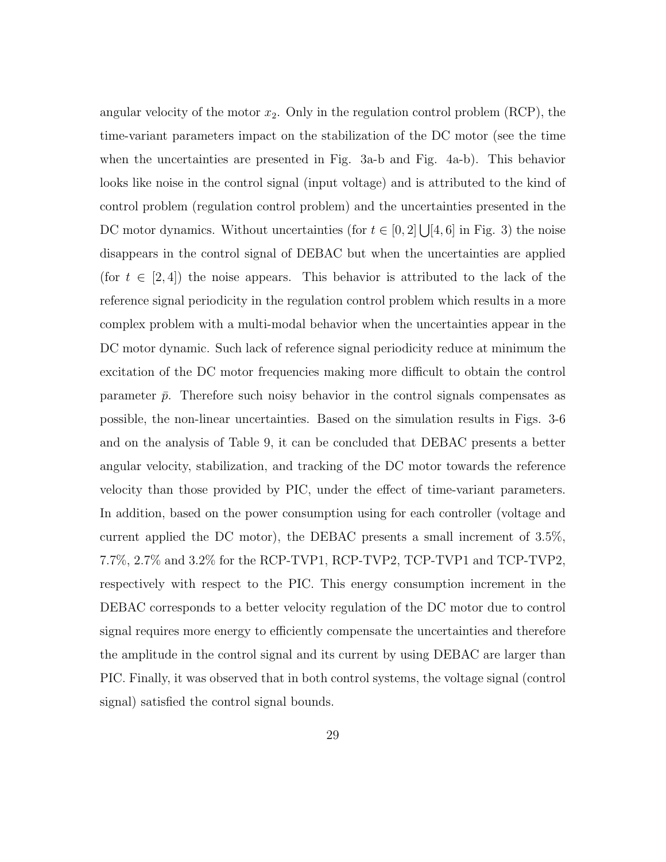angular velocity of the motor  $x_2$ . Only in the regulation control problem (RCP), the time-variant parameters impact on the stabilization of the DC motor (see the time when the uncertainties are presented in Fig. 3a-b and Fig. 4a-b). This behavior looks like noise in the control signal (input voltage) and is attributed to the kind of control problem (regulation control problem) and the uncertainties presented in the DC motor dynamics. Without uncertainties (for  $t \in [0,2] \bigcup [4,6]$  in Fig. 3) the noise disappears in the control signal of DEBAC but when the uncertainties are applied (for  $t \in [2, 4]$ ) the noise appears. This behavior is attributed to the lack of the reference signal periodicity in the regulation control problem which results in a more complex problem with a multi-modal behavior when the uncertainties appear in the DC motor dynamic. Such lack of reference signal periodicity reduce at minimum the excitation of the DC motor frequencies making more difficult to obtain the control parameter  $\bar{p}$ . Therefore such noisy behavior in the control signals compensates as possible, the non-linear uncertainties. Based on the simulation results in Figs. 3-6 and on the analysis of Table 9, it can be concluded that DEBAC presents a better angular velocity, stabilization, and tracking of the DC motor towards the reference velocity than those provided by PIC, under the effect of time-variant parameters. In addition, based on the power consumption using for each controller (voltage and current applied the DC motor), the DEBAC presents a small increment of 3.5%, 7.7%, 2.7% and 3.2% for the RCP-TVP1, RCP-TVP2, TCP-TVP1 and TCP-TVP2, respectively with respect to the PIC. This energy consumption increment in the DEBAC corresponds to a better velocity regulation of the DC motor due to control signal requires more energy to efficiently compensate the uncertainties and therefore the amplitude in the control signal and its current by using DEBAC are larger than PIC. Finally, it was observed that in both control systems, the voltage signal (control signal) satisfied the control signal bounds.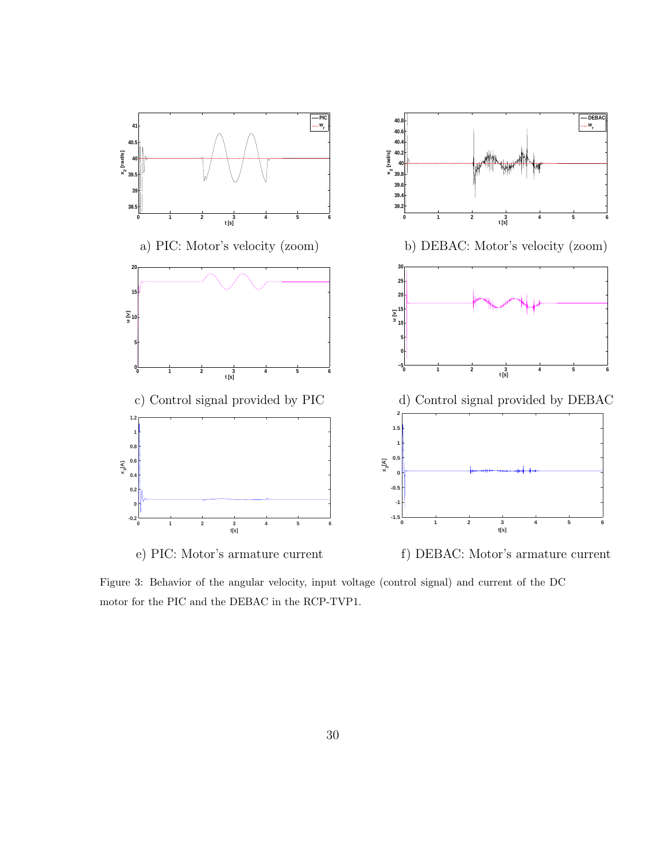

Figure 3: Behavior of the angular velocity, input voltage (control signal) and current of the DC motor for the PIC and the DEBAC in the RCP-TVP1.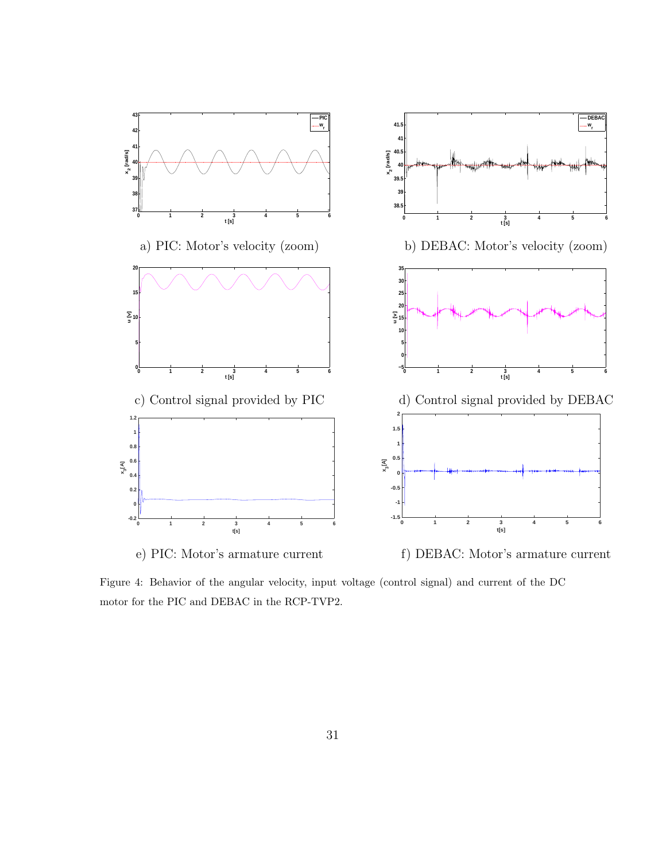

Figure 4: Behavior of the angular velocity, input voltage (control signal) and current of the DC motor for the PIC and DEBAC in the RCP-TVP2.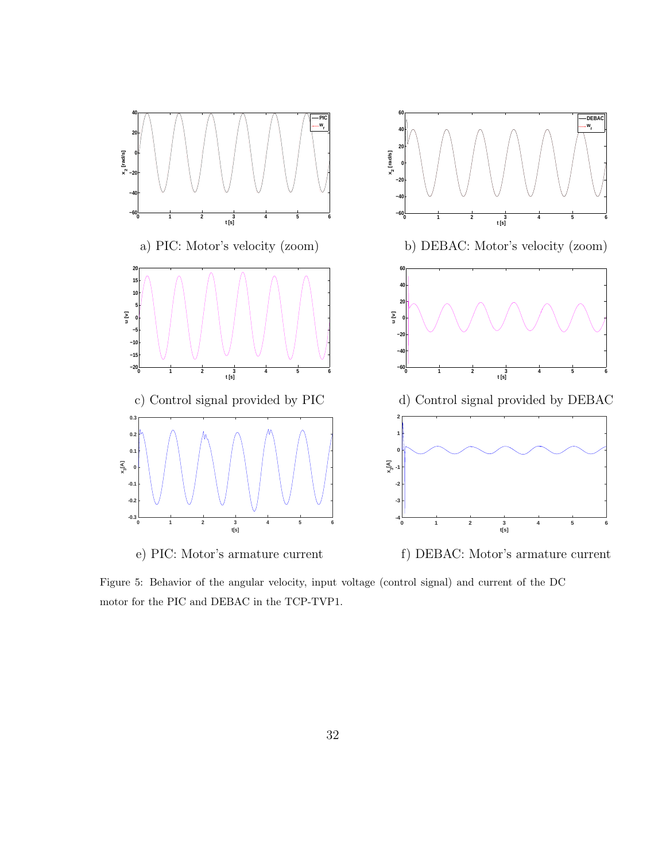

Figure 5: Behavior of the angular velocity, input voltage (control signal) and current of the DC motor for the PIC and DEBAC in the TCP-TVP1.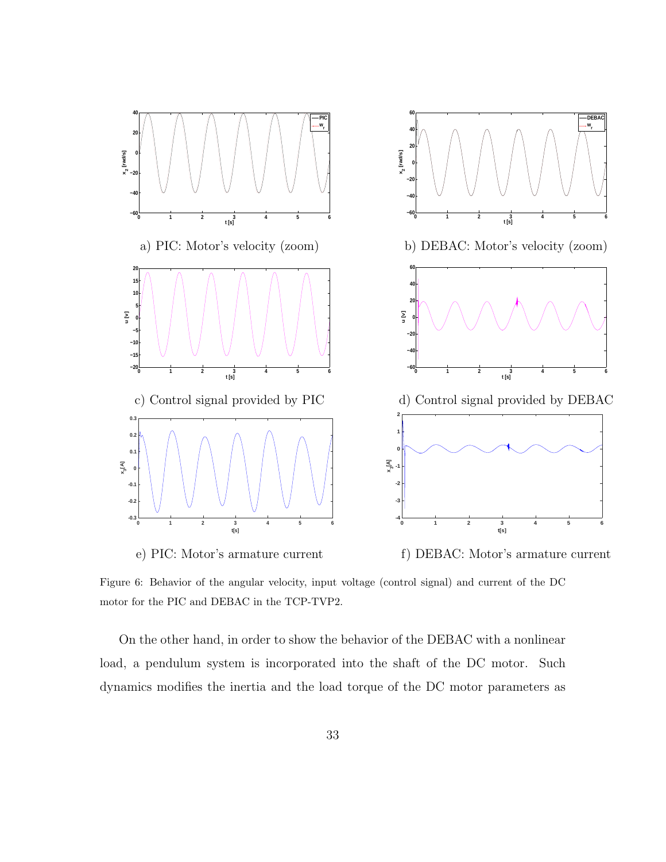

Figure 6: Behavior of the angular velocity, input voltage (control signal) and current of the DC motor for the PIC and DEBAC in the TCP-TVP2.

On the other hand, in order to show the behavior of the DEBAC with a nonlinear load, a pendulum system is incorporated into the shaft of the DC motor. Such dynamics modifies the inertia and the load torque of the DC motor parameters as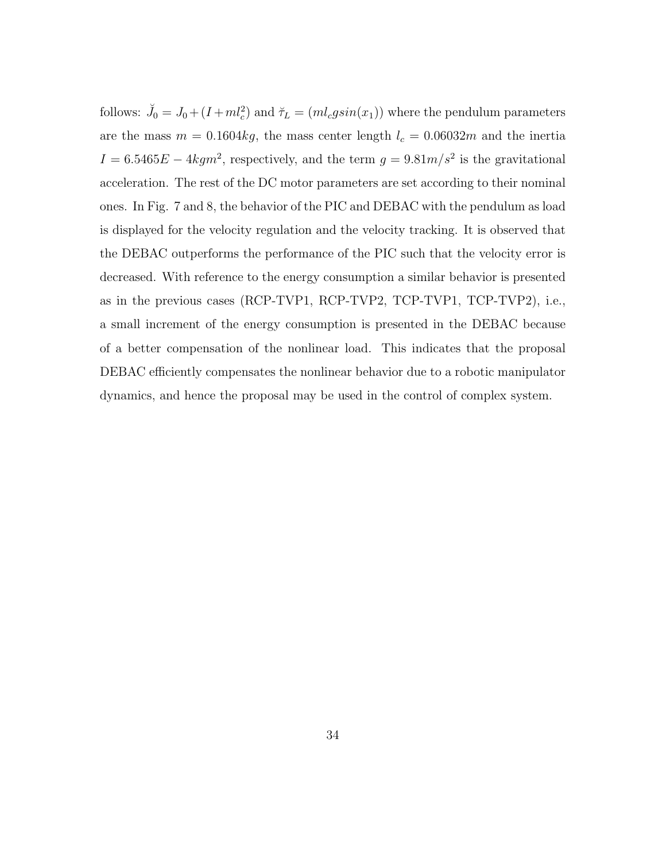follows:  $\tilde{J}_0 = J_0 + (I + ml_c^2)$  and  $\tilde{\tau}_L = (ml_cgsin(x_1))$  where the pendulum parameters are the mass  $m = 0.1604kg$ , the mass center length  $l_c = 0.06032m$  and the inertia  $I = 6.5465E - 4kgm^2$ , respectively, and the term  $g = 9.81m/s^2$  is the gravitational acceleration. The rest of the DC motor parameters are set according to their nominal ones. In Fig. 7 and 8, the behavior of the PIC and DEBAC with the pendulum as load is displayed for the velocity regulation and the velocity tracking. It is observed that the DEBAC outperforms the performance of the PIC such that the velocity error is decreased. With reference to the energy consumption a similar behavior is presented as in the previous cases (RCP-TVP1, RCP-TVP2, TCP-TVP1, TCP-TVP2), i.e., a small increment of the energy consumption is presented in the DEBAC because of a better compensation of the nonlinear load. This indicates that the proposal DEBAC efficiently compensates the nonlinear behavior due to a robotic manipulator dynamics, and hence the proposal may be used in the control of complex system.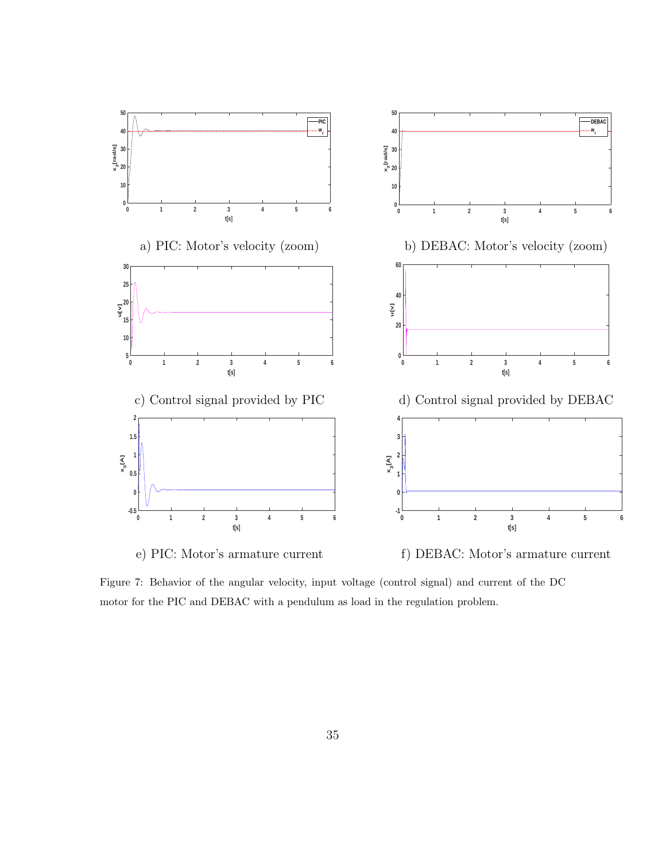

Figure 7: Behavior of the angular velocity, input voltage (control signal) and current of the DC motor for the PIC and DEBAC with a pendulum as load in the regulation problem.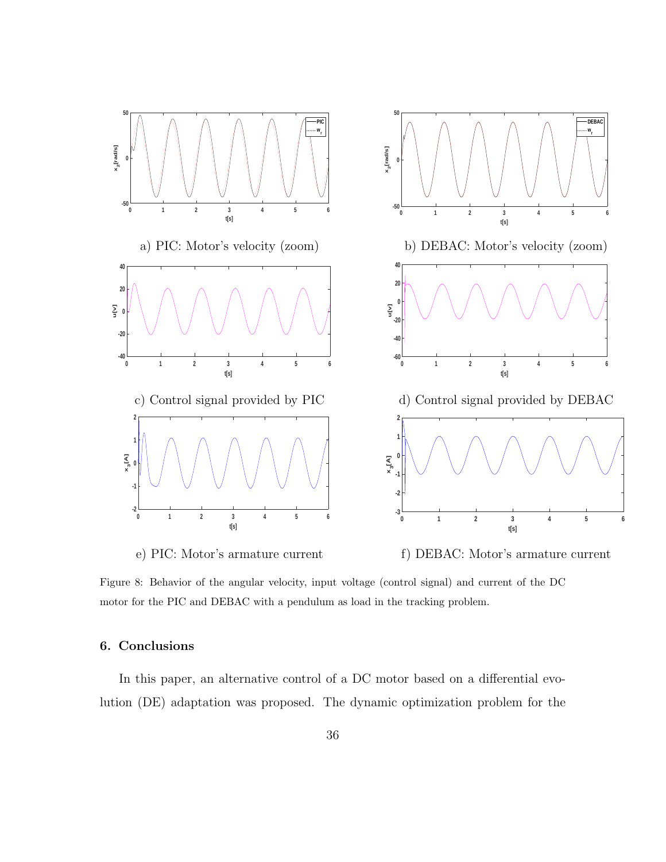

Figure 8: Behavior of the angular velocity, input voltage (control signal) and current of the DC motor for the PIC and DEBAC with a pendulum as load in the tracking problem.

#### 6. Conclusions

In this paper, an alternative control of a DC motor based on a differential evolution (DE) adaptation was proposed. The dynamic optimization problem for the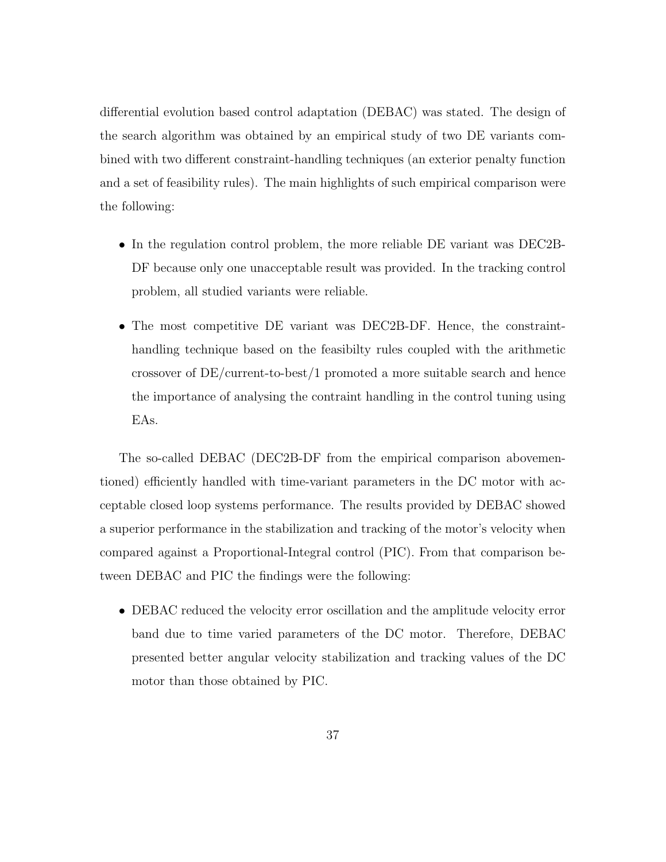differential evolution based control adaptation (DEBAC) was stated. The design of the search algorithm was obtained by an empirical study of two DE variants combined with two different constraint-handling techniques (an exterior penalty function and a set of feasibility rules). The main highlights of such empirical comparison were the following:

- In the regulation control problem, the more reliable DE variant was DEC2B-DF because only one unacceptable result was provided. In the tracking control problem, all studied variants were reliable.
- The most competitive DE variant was DEC2B-DF. Hence, the constrainthandling technique based on the feasibilty rules coupled with the arithmetic crossover of DE/current-to-best/1 promoted a more suitable search and hence the importance of analysing the contraint handling in the control tuning using EAs.

The so-called DEBAC (DEC2B-DF from the empirical comparison abovementioned) efficiently handled with time-variant parameters in the DC motor with acceptable closed loop systems performance. The results provided by DEBAC showed a superior performance in the stabilization and tracking of the motor's velocity when compared against a Proportional-Integral control (PIC). From that comparison between DEBAC and PIC the findings were the following:

• DEBAC reduced the velocity error oscillation and the amplitude velocity error band due to time varied parameters of the DC motor. Therefore, DEBAC presented better angular velocity stabilization and tracking values of the DC motor than those obtained by PIC.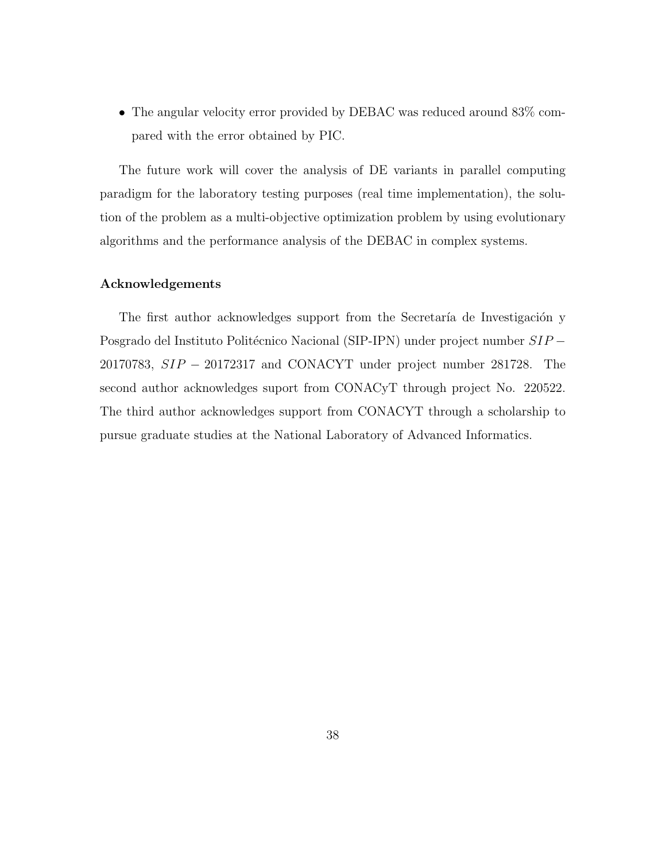• The angular velocity error provided by DEBAC was reduced around 83% compared with the error obtained by PIC.

The future work will cover the analysis of DE variants in parallel computing paradigm for the laboratory testing purposes (real time implementation), the solution of the problem as a multi-objective optimization problem by using evolutionary algorithms and the performance analysis of the DEBAC in complex systems.

#### Acknowledgements

The first author acknowledges support from the Secretaría de Investigación y Posgrado del Instituto Politécnico Nacional (SIP-IPN) under project number SIP − 20170783, SIP − 20172317 and CONACYT under project number 281728. The second author acknowledges suport from CONACyT through project No. 220522. The third author acknowledges support from CONACYT through a scholarship to pursue graduate studies at the National Laboratory of Advanced Informatics.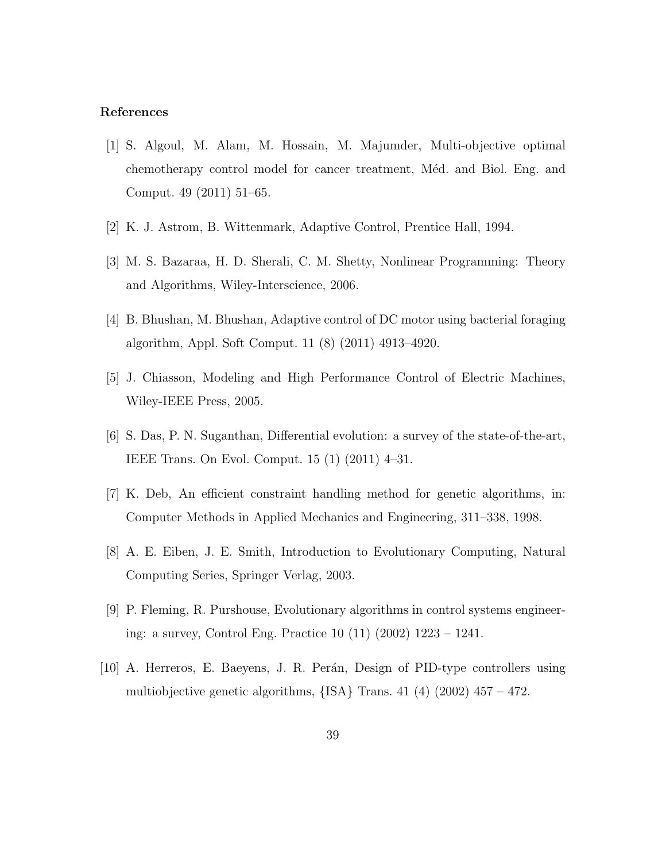#### References

- [1] S. Algoul, M. Alam, M. Hossain, M. Majumder, Multi-objective optimal chemotherapy control model for cancer treatment, Méd. and Biol. Eng. and Comput. 49 (2011) 51–65.
- [2] K. J. Astrom, B. Wittenmark, Adaptive Control, Prentice Hall, 1994.
- [3] M. S. Bazaraa, H. D. Sherali, C. M. Shetty, Nonlinear Programming: Theory and Algorithms, Wiley-Interscience, 2006.
- [4] B. Bhushan, M. Bhushan, Adaptive control of DC motor using bacterial foraging algorithm, Appl. Soft Comput. 11 (8) (2011) 4913–4920.
- [5] J. Chiasson, Modeling and High Performance Control of Electric Machines, Wiley-IEEE Press, 2005.
- [6] S. Das, P. N. Suganthan, Differential evolution: a survey of the state-of-the-art, IEEE Trans. On Evol. Comput. 15 (1) (2011) 4–31.
- [7] K. Deb, An efficient constraint handling method for genetic algorithms, in: Computer Methods in Applied Mechanics and Engineering, 311–338, 1998.
- [8] A. E. Eiben, J. E. Smith, Introduction to Evolutionary Computing, Natural Computing Series, Springer Verlag, 2003.
- [9] P. Fleming, R. Purshouse, Evolutionary algorithms in control systems engineering: a survey, Control Eng. Practice 10 (11) (2002) 1223 – 1241.
- [10] A. Herreros, E. Baeyens, J. R. Perán, Design of PID-type controllers using multiobjective genetic algorithms,  ${ISA}$  Trans. 41 (4) (2002) 457 – 472.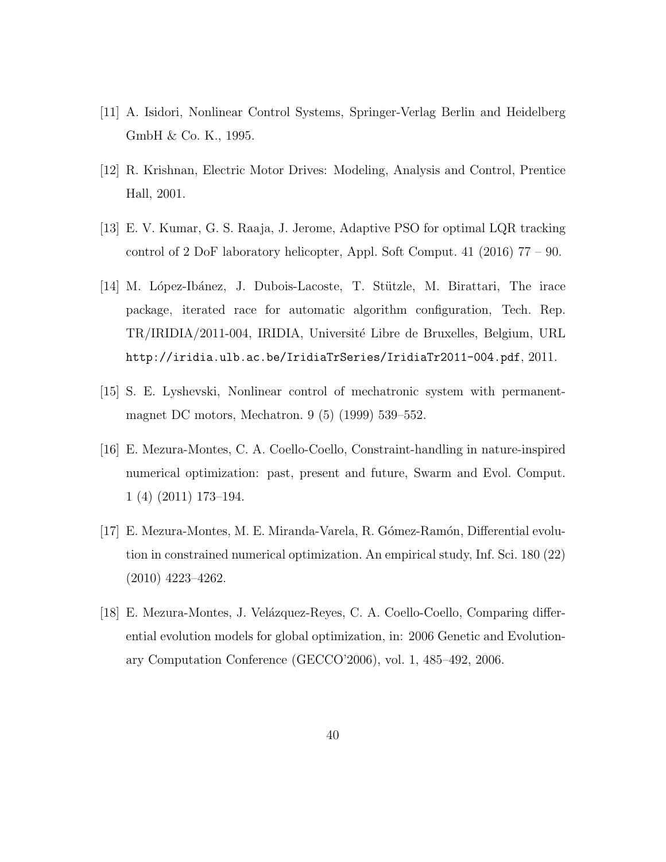- [11] A. Isidori, Nonlinear Control Systems, Springer-Verlag Berlin and Heidelberg GmbH & Co. K., 1995.
- [12] R. Krishnan, Electric Motor Drives: Modeling, Analysis and Control, Prentice Hall, 2001.
- [13] E. V. Kumar, G. S. Raaja, J. Jerome, Adaptive PSO for optimal LQR tracking control of 2 DoF laboratory helicopter, Appl. Soft Comput. 41 (2016) 77 – 90.
- [14] M. López-Ibánez, J. Dubois-Lacoste, T. Stützle, M. Birattari, The irace package, iterated race for automatic algorithm configuration, Tech. Rep. TR/IRIDIA/2011-004, IRIDIA, Université Libre de Bruxelles, Belgium, URL http://iridia.ulb.ac.be/IridiaTrSeries/IridiaTr2011-004.pdf, 2011.
- [15] S. E. Lyshevski, Nonlinear control of mechatronic system with permanentmagnet DC motors, Mechatron. 9 (5) (1999) 539–552.
- [16] E. Mezura-Montes, C. A. Coello-Coello, Constraint-handling in nature-inspired numerical optimization: past, present and future, Swarm and Evol. Comput. 1 (4) (2011) 173–194.
- [17] E. Mezura-Montes, M. E. Miranda-Varela, R. G´omez-Ram´on, Differential evolution in constrained numerical optimization. An empirical study, Inf. Sci. 180 (22) (2010) 4223–4262.
- [18] E. Mezura-Montes, J. Velázquez-Reyes, C. A. Coello-Coello, Comparing differential evolution models for global optimization, in: 2006 Genetic and Evolutionary Computation Conference (GECCO'2006), vol. 1, 485–492, 2006.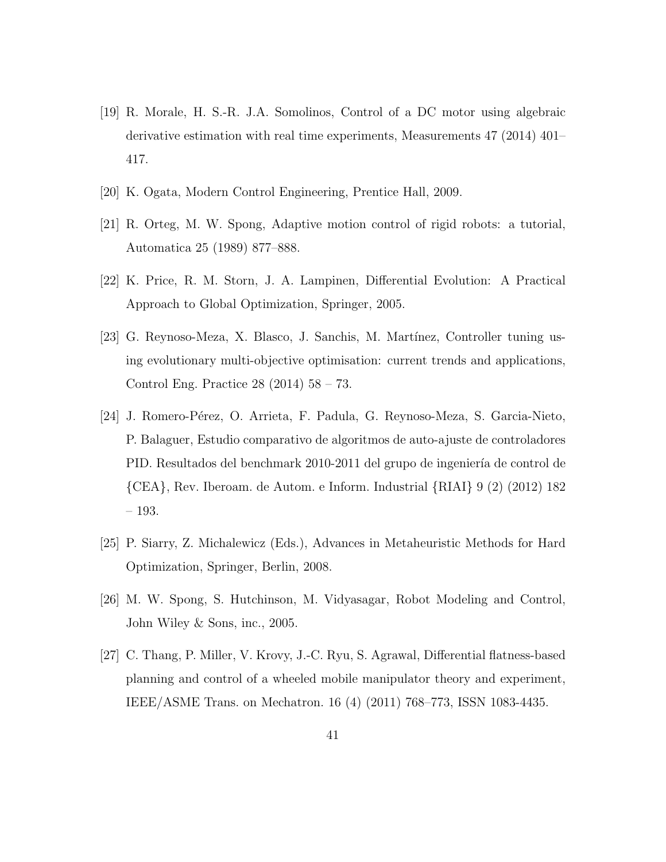- [19] R. Morale, H. S.-R. J.A. Somolinos, Control of a DC motor using algebraic derivative estimation with real time experiments, Measurements 47 (2014) 401– 417.
- [20] K. Ogata, Modern Control Engineering, Prentice Hall, 2009.
- [21] R. Orteg, M. W. Spong, Adaptive motion control of rigid robots: a tutorial, Automatica 25 (1989) 877–888.
- [22] K. Price, R. M. Storn, J. A. Lampinen, Differential Evolution: A Practical Approach to Global Optimization, Springer, 2005.
- [23] G. Reynoso-Meza, X. Blasco, J. Sanchis, M. Mart´ınez, Controller tuning using evolutionary multi-objective optimisation: current trends and applications, Control Eng. Practice 28 (2014) 58 – 73.
- [24] J. Romero-P´erez, O. Arrieta, F. Padula, G. Reynoso-Meza, S. Garcia-Nieto, P. Balaguer, Estudio comparativo de algoritmos de auto-ajuste de controladores PID. Resultados del benchmark 2010-2011 del grupo de ingeniería de control de {CEA}, Rev. Iberoam. de Autom. e Inform. Industrial {RIAI} 9 (2) (2012) 182 – 193.
- [25] P. Siarry, Z. Michalewicz (Eds.), Advances in Metaheuristic Methods for Hard Optimization, Springer, Berlin, 2008.
- [26] M. W. Spong, S. Hutchinson, M. Vidyasagar, Robot Modeling and Control, John Wiley & Sons, inc., 2005.
- [27] C. Thang, P. Miller, V. Krovy, J.-C. Ryu, S. Agrawal, Differential flatness-based planning and control of a wheeled mobile manipulator theory and experiment, IEEE/ASME Trans. on Mechatron. 16 (4) (2011) 768–773, ISSN 1083-4435.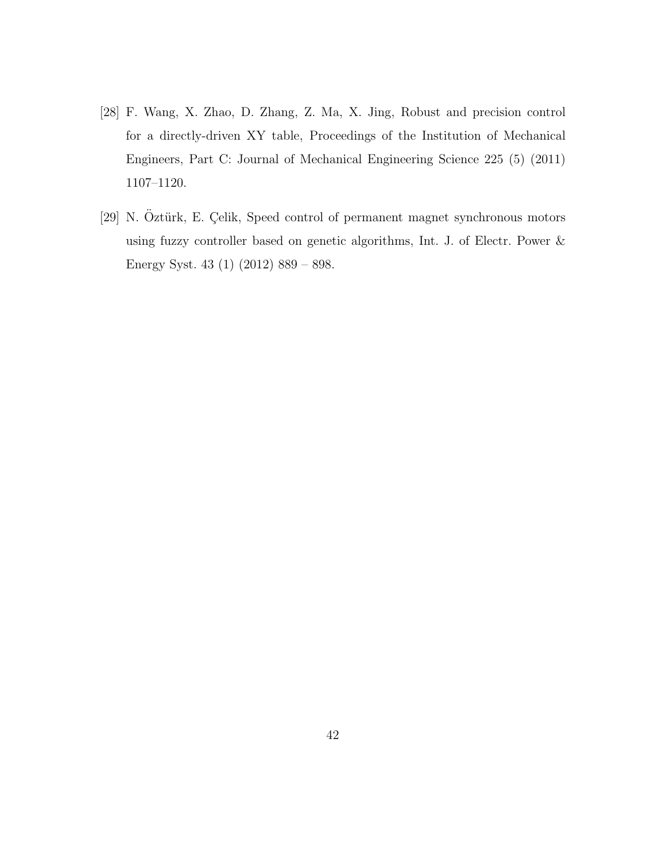- [28] F. Wang, X. Zhao, D. Zhang, Z. Ma, X. Jing, Robust and precision control for a directly-driven XY table, Proceedings of the Institution of Mechanical Engineers, Part C: Journal of Mechanical Engineering Science 225 (5) (2011) 1107–1120.
- [29] N. Öztürk, E. Çelik, Speed control of permanent magnet synchronous motors using fuzzy controller based on genetic algorithms, Int. J. of Electr. Power & Energy Syst. 43 (1) (2012) 889 – 898.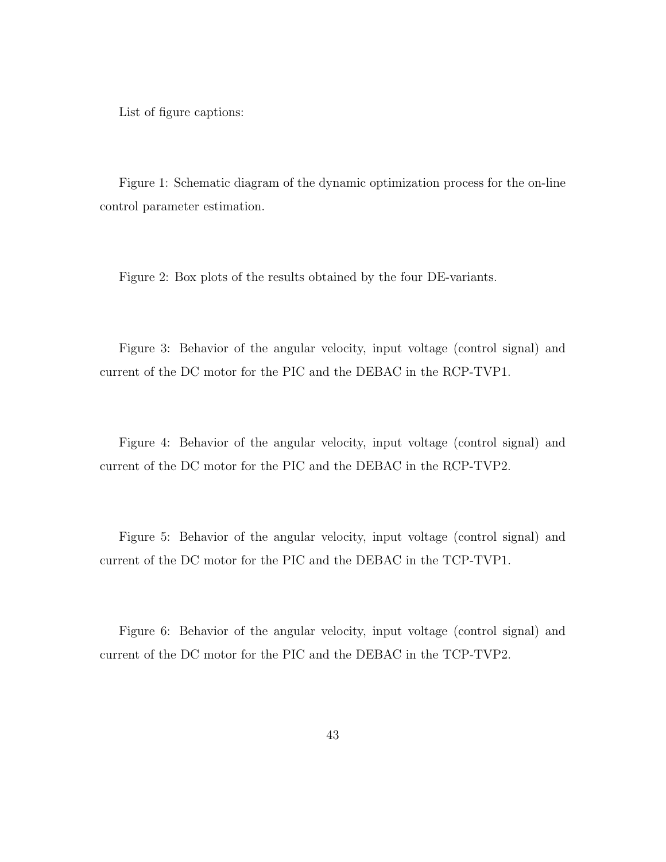List of figure captions:

Figure 1: Schematic diagram of the dynamic optimization process for the on-line control parameter estimation.

Figure 2: Box plots of the results obtained by the four DE-variants.

Figure 3: Behavior of the angular velocity, input voltage (control signal) and current of the DC motor for the PIC and the DEBAC in the RCP-TVP1.

Figure 4: Behavior of the angular velocity, input voltage (control signal) and current of the DC motor for the PIC and the DEBAC in the RCP-TVP2.

Figure 5: Behavior of the angular velocity, input voltage (control signal) and current of the DC motor for the PIC and the DEBAC in the TCP-TVP1.

Figure 6: Behavior of the angular velocity, input voltage (control signal) and current of the DC motor for the PIC and the DEBAC in the TCP-TVP2.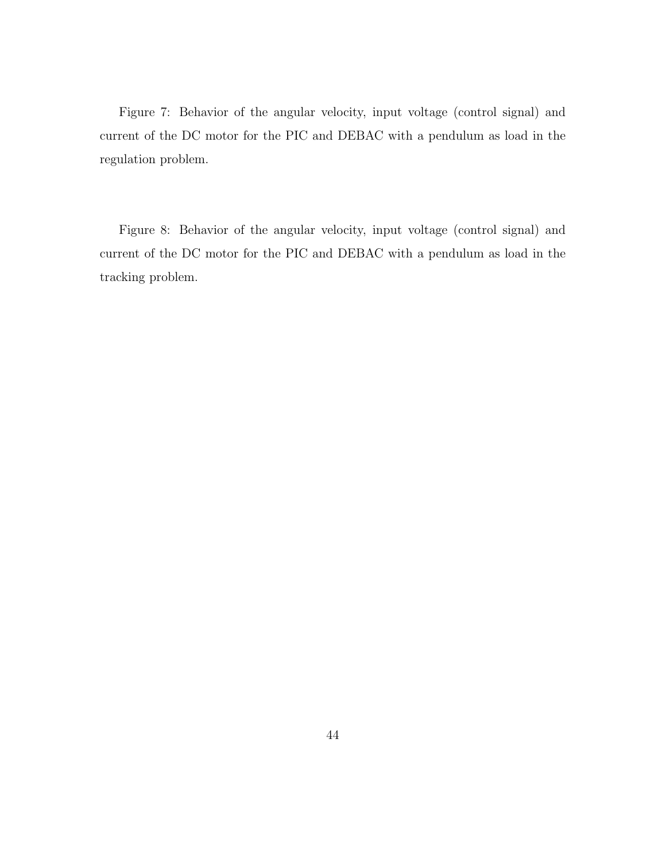Figure 7: Behavior of the angular velocity, input voltage (control signal) and current of the DC motor for the PIC and DEBAC with a pendulum as load in the regulation problem.

Figure 8: Behavior of the angular velocity, input voltage (control signal) and current of the DC motor for the PIC and DEBAC with a pendulum as load in the tracking problem.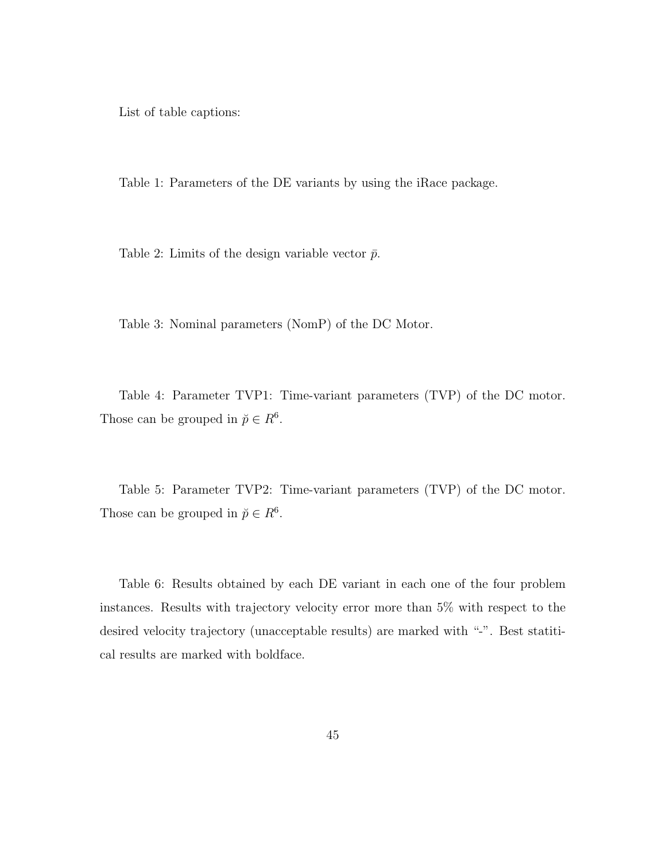List of table captions:

Table 1: Parameters of the DE variants by using the iRace package.

Table 2: Limits of the design variable vector  $\bar{p}$ .

Table 3: Nominal parameters (NomP) of the DC Motor.

Table 4: Parameter TVP1: Time-variant parameters (TVP) of the DC motor. Those can be grouped in  $\breve{p} \in R^6$ .

Table 5: Parameter TVP2: Time-variant parameters (TVP) of the DC motor. Those can be grouped in  $\breve{p} \in R^6$ .

Table 6: Results obtained by each DE variant in each one of the four problem instances. Results with trajectory velocity error more than 5% with respect to the desired velocity trajectory (unacceptable results) are marked with "-". Best statitical results are marked with boldface.